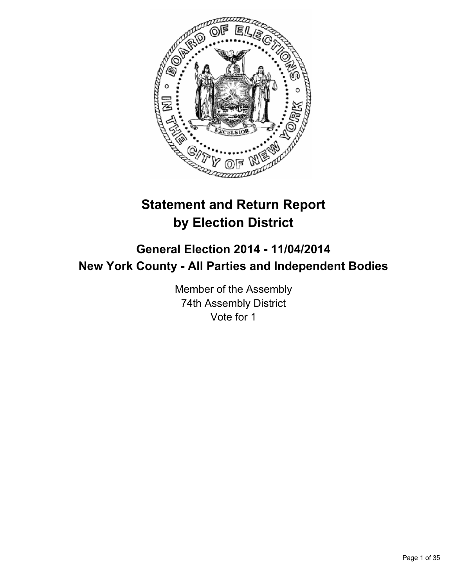

# **Statement and Return Report by Election District**

# **General Election 2014 - 11/04/2014 New York County - All Parties and Independent Bodies**

Member of the Assembly 74th Assembly District Vote for 1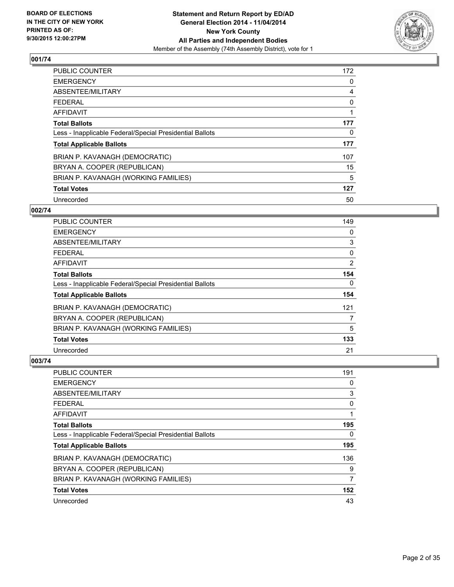

| <b>PUBLIC COUNTER</b>                                    | 172 |
|----------------------------------------------------------|-----|
| <b>EMERGENCY</b>                                         | 0   |
| ABSENTEE/MILITARY                                        | 4   |
| <b>FEDERAL</b>                                           | 0   |
| AFFIDAVIT                                                |     |
| <b>Total Ballots</b>                                     | 177 |
| Less - Inapplicable Federal/Special Presidential Ballots | 0   |
| <b>Total Applicable Ballots</b>                          | 177 |
| BRIAN P. KAVANAGH (DEMOCRATIC)                           | 107 |
| BRYAN A. COOPER (REPUBLICAN)                             | 15  |
| BRIAN P. KAVANAGH (WORKING FAMILIES)                     | 5   |
| <b>Total Votes</b>                                       | 127 |
| Unrecorded                                               | 50  |

#### **002/74**

| PUBLIC COUNTER                                           | 149            |
|----------------------------------------------------------|----------------|
| <b>EMERGENCY</b>                                         | 0              |
| ABSENTEE/MILITARY                                        | 3              |
| <b>FEDERAL</b>                                           | 0              |
| <b>AFFIDAVIT</b>                                         | $\overline{2}$ |
| <b>Total Ballots</b>                                     | 154            |
| Less - Inapplicable Federal/Special Presidential Ballots | 0              |
| <b>Total Applicable Ballots</b>                          | 154            |
| BRIAN P. KAVANAGH (DEMOCRATIC)                           | 121            |
| BRYAN A. COOPER (REPUBLICAN)                             | 7              |
| BRIAN P. KAVANAGH (WORKING FAMILIES)                     | 5              |
| <b>Total Votes</b>                                       | 133            |
| Unrecorded                                               | 21             |

| PUBLIC COUNTER                                           | 191 |
|----------------------------------------------------------|-----|
| <b>EMERGENCY</b>                                         | 0   |
| ABSENTEE/MILITARY                                        | 3   |
| <b>FEDERAL</b>                                           | 0   |
| AFFIDAVIT                                                | 1   |
| <b>Total Ballots</b>                                     | 195 |
| Less - Inapplicable Federal/Special Presidential Ballots | 0   |
| <b>Total Applicable Ballots</b>                          | 195 |
| BRIAN P. KAVANAGH (DEMOCRATIC)                           | 136 |
| BRYAN A. COOPER (REPUBLICAN)                             | 9   |
| BRIAN P. KAVANAGH (WORKING FAMILIES)                     | 7   |
| <b>Total Votes</b>                                       | 152 |
| Unrecorded                                               | 43  |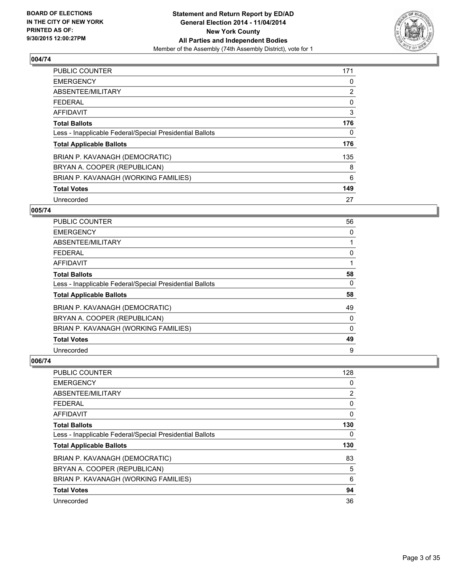

| <b>PUBLIC COUNTER</b>                                    | 171            |
|----------------------------------------------------------|----------------|
| <b>EMERGENCY</b>                                         | 0              |
| ABSENTEE/MILITARY                                        | $\overline{2}$ |
| <b>FEDERAL</b>                                           | 0              |
| AFFIDAVIT                                                | 3              |
| <b>Total Ballots</b>                                     | 176            |
| Less - Inapplicable Federal/Special Presidential Ballots | 0              |
| <b>Total Applicable Ballots</b>                          | 176            |
| BRIAN P. KAVANAGH (DEMOCRATIC)                           | 135            |
| BRYAN A. COOPER (REPUBLICAN)                             | 8              |
| BRIAN P. KAVANAGH (WORKING FAMILIES)                     | 6              |
| <b>Total Votes</b>                                       | 149            |
| Unrecorded                                               | 27             |

#### **005/74**

| <b>PUBLIC COUNTER</b>                                    | 56           |
|----------------------------------------------------------|--------------|
| <b>EMERGENCY</b>                                         | 0            |
| ABSENTEE/MILITARY                                        |              |
| <b>FEDERAL</b>                                           | 0            |
| <b>AFFIDAVIT</b>                                         |              |
| <b>Total Ballots</b>                                     | 58           |
| Less - Inapplicable Federal/Special Presidential Ballots | 0            |
| <b>Total Applicable Ballots</b>                          | 58           |
| BRIAN P. KAVANAGH (DEMOCRATIC)                           | 49           |
| BRYAN A. COOPER (REPUBLICAN)                             | 0            |
| BRIAN P. KAVANAGH (WORKING FAMILIES)                     | $\mathbf{0}$ |
| <b>Total Votes</b>                                       | 49           |
| Unrecorded                                               | 9            |

| PUBLIC COUNTER                                           | 128            |
|----------------------------------------------------------|----------------|
| <b>EMERGENCY</b>                                         | 0              |
| ABSENTEE/MILITARY                                        | $\overline{2}$ |
| <b>FEDERAL</b>                                           | 0              |
| AFFIDAVIT                                                | 0              |
| <b>Total Ballots</b>                                     | 130            |
| Less - Inapplicable Federal/Special Presidential Ballots | 0              |
| <b>Total Applicable Ballots</b>                          | 130            |
| BRIAN P. KAVANAGH (DEMOCRATIC)                           | 83             |
| BRYAN A. COOPER (REPUBLICAN)                             | 5              |
| BRIAN P. KAVANAGH (WORKING FAMILIES)                     | 6              |
| <b>Total Votes</b>                                       | 94             |
| Unrecorded                                               | 36             |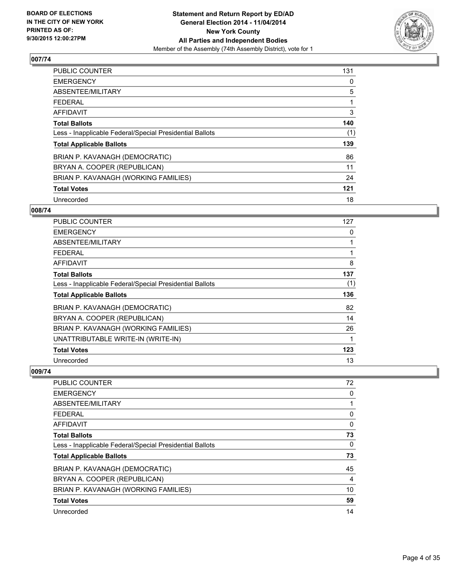

| <b>PUBLIC COUNTER</b>                                    | 131 |
|----------------------------------------------------------|-----|
| <b>EMERGENCY</b>                                         | 0   |
| ABSENTEE/MILITARY                                        | 5   |
| <b>FEDERAL</b>                                           |     |
| AFFIDAVIT                                                | 3   |
| <b>Total Ballots</b>                                     | 140 |
| Less - Inapplicable Federal/Special Presidential Ballots | (1) |
| <b>Total Applicable Ballots</b>                          | 139 |
| BRIAN P. KAVANAGH (DEMOCRATIC)                           | 86  |
| BRYAN A. COOPER (REPUBLICAN)                             | 11  |
| BRIAN P. KAVANAGH (WORKING FAMILIES)                     | 24  |
| <b>Total Votes</b>                                       | 121 |
| Unrecorded                                               | 18  |

#### **008/74**

| <b>PUBLIC COUNTER</b>                                    | 127          |
|----------------------------------------------------------|--------------|
| <b>EMERGENCY</b>                                         | 0            |
| ABSENTEE/MILITARY                                        | $\mathbf{1}$ |
| <b>FEDERAL</b>                                           | 1            |
| <b>AFFIDAVIT</b>                                         | 8            |
| <b>Total Ballots</b>                                     | 137          |
| Less - Inapplicable Federal/Special Presidential Ballots | (1)          |
| <b>Total Applicable Ballots</b>                          | 136          |
| BRIAN P. KAVANAGH (DEMOCRATIC)                           | 82           |
| BRYAN A. COOPER (REPUBLICAN)                             | 14           |
| BRIAN P. KAVANAGH (WORKING FAMILIES)                     | 26           |
| UNATTRIBUTABLE WRITE-IN (WRITE-IN)                       | 1            |
| <b>Total Votes</b>                                       | 123          |
| Unrecorded                                               | 13           |

| <b>PUBLIC COUNTER</b>                                    | 72 |
|----------------------------------------------------------|----|
| <b>EMERGENCY</b>                                         | 0  |
| ABSENTEE/MILITARY                                        |    |
| <b>FEDERAL</b>                                           | 0  |
| AFFIDAVIT                                                | 0  |
| <b>Total Ballots</b>                                     | 73 |
| Less - Inapplicable Federal/Special Presidential Ballots | 0  |
| <b>Total Applicable Ballots</b>                          | 73 |
| BRIAN P. KAVANAGH (DEMOCRATIC)                           | 45 |
| BRYAN A. COOPER (REPUBLICAN)                             | 4  |
| BRIAN P. KAVANAGH (WORKING FAMILIES)                     | 10 |
| <b>Total Votes</b>                                       | 59 |
| Unrecorded                                               | 14 |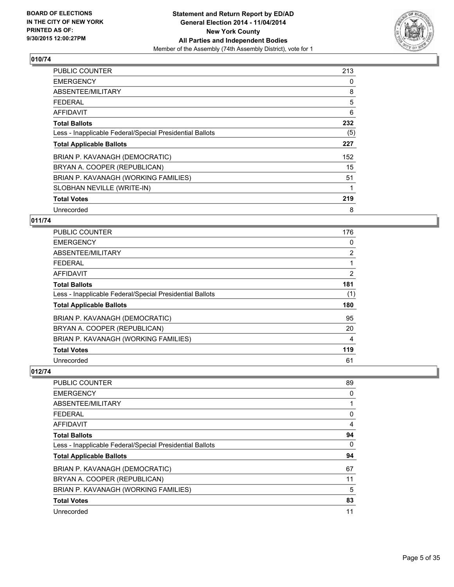

| <b>PUBLIC COUNTER</b>                                    | 213 |
|----------------------------------------------------------|-----|
| <b>EMERGENCY</b>                                         | 0   |
| ABSENTEE/MILITARY                                        | 8   |
| <b>FEDERAL</b>                                           | 5   |
| <b>AFFIDAVIT</b>                                         | 6   |
| <b>Total Ballots</b>                                     | 232 |
| Less - Inapplicable Federal/Special Presidential Ballots | (5) |
| <b>Total Applicable Ballots</b>                          | 227 |
| BRIAN P. KAVANAGH (DEMOCRATIC)                           | 152 |
| BRYAN A. COOPER (REPUBLICAN)                             | 15  |
| BRIAN P. KAVANAGH (WORKING FAMILIES)                     | 51  |
| SLOBHAN NEVILLE (WRITE-IN)                               | 1   |
| <b>Total Votes</b>                                       | 219 |
| Unrecorded                                               | 8   |

# **011/74**

| <b>PUBLIC COUNTER</b>                                    | 176 |
|----------------------------------------------------------|-----|
| <b>EMERGENCY</b>                                         | 0   |
| ABSENTEE/MILITARY                                        | 2   |
| <b>FEDERAL</b>                                           | 1   |
| <b>AFFIDAVIT</b>                                         | 2   |
| <b>Total Ballots</b>                                     | 181 |
| Less - Inapplicable Federal/Special Presidential Ballots | (1) |
| <b>Total Applicable Ballots</b>                          | 180 |
| BRIAN P. KAVANAGH (DEMOCRATIC)                           | 95  |
| BRYAN A. COOPER (REPUBLICAN)                             | 20  |
| BRIAN P. KAVANAGH (WORKING FAMILIES)                     | 4   |
| <b>Total Votes</b>                                       | 119 |
| Unrecorded                                               | 61  |

| <b>PUBLIC COUNTER</b>                                    | 89 |
|----------------------------------------------------------|----|
| <b>EMERGENCY</b>                                         | 0  |
| ABSENTEE/MILITARY                                        |    |
| <b>FEDERAL</b>                                           | 0  |
| <b>AFFIDAVIT</b>                                         | 4  |
| <b>Total Ballots</b>                                     | 94 |
| Less - Inapplicable Federal/Special Presidential Ballots | 0  |
| <b>Total Applicable Ballots</b>                          | 94 |
| BRIAN P. KAVANAGH (DEMOCRATIC)                           | 67 |
| BRYAN A. COOPER (REPUBLICAN)                             | 11 |
| BRIAN P. KAVANAGH (WORKING FAMILIES)                     | 5  |
| <b>Total Votes</b>                                       | 83 |
| Unrecorded                                               | 11 |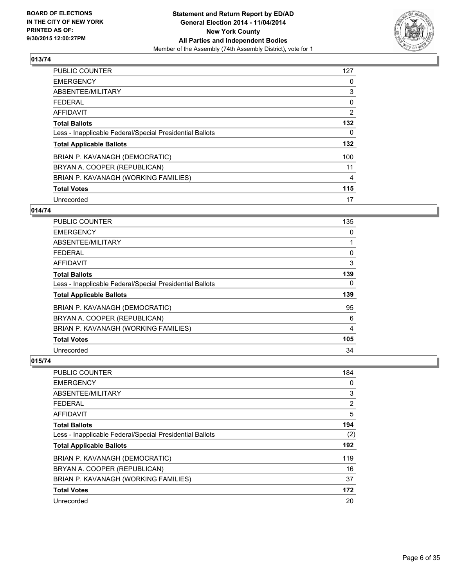

| <b>PUBLIC COUNTER</b>                                    | 127 |
|----------------------------------------------------------|-----|
| <b>EMERGENCY</b>                                         | 0   |
| ABSENTEE/MILITARY                                        | 3   |
| <b>FEDERAL</b>                                           | 0   |
| AFFIDAVIT                                                | 2   |
| <b>Total Ballots</b>                                     | 132 |
| Less - Inapplicable Federal/Special Presidential Ballots | 0   |
| <b>Total Applicable Ballots</b>                          | 132 |
| BRIAN P. KAVANAGH (DEMOCRATIC)                           | 100 |
| BRYAN A. COOPER (REPUBLICAN)                             | 11  |
| BRIAN P. KAVANAGH (WORKING FAMILIES)                     | 4   |
| <b>Total Votes</b>                                       | 115 |
| Unrecorded                                               | 17  |

## **014/74**

| <b>PUBLIC COUNTER</b>                                    | 135 |
|----------------------------------------------------------|-----|
| <b>EMERGENCY</b>                                         | 0   |
| ABSENTEE/MILITARY                                        |     |
| <b>FEDERAL</b>                                           | 0   |
| <b>AFFIDAVIT</b>                                         | 3   |
| <b>Total Ballots</b>                                     | 139 |
| Less - Inapplicable Federal/Special Presidential Ballots | 0   |
| <b>Total Applicable Ballots</b>                          | 139 |
| BRIAN P. KAVANAGH (DEMOCRATIC)                           | 95  |
| BRYAN A. COOPER (REPUBLICAN)                             | 6   |
| BRIAN P. KAVANAGH (WORKING FAMILIES)                     | 4   |
| <b>Total Votes</b>                                       | 105 |
| Unrecorded                                               | 34  |

| PUBLIC COUNTER                                           | 184 |
|----------------------------------------------------------|-----|
| <b>EMERGENCY</b>                                         | 0   |
| ABSENTEE/MILITARY                                        | 3   |
| <b>FEDERAL</b>                                           | 2   |
| <b>AFFIDAVIT</b>                                         | 5   |
| <b>Total Ballots</b>                                     | 194 |
| Less - Inapplicable Federal/Special Presidential Ballots | (2) |
| <b>Total Applicable Ballots</b>                          | 192 |
| BRIAN P. KAVANAGH (DEMOCRATIC)                           | 119 |
| BRYAN A. COOPER (REPUBLICAN)                             | 16  |
| BRIAN P. KAVANAGH (WORKING FAMILIES)                     | 37  |
| <b>Total Votes</b>                                       | 172 |
| Unrecorded                                               | 20  |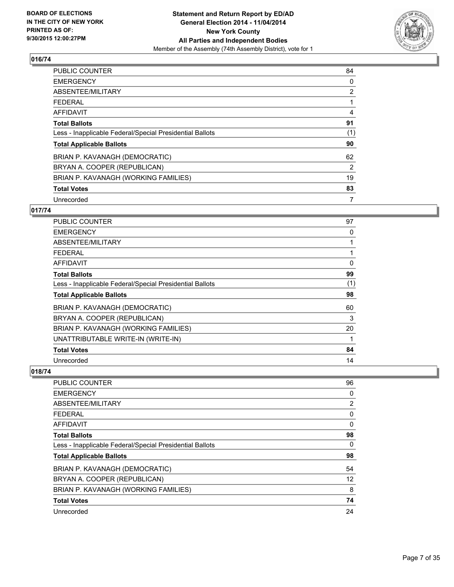

| <b>PUBLIC COUNTER</b>                                    | 84             |
|----------------------------------------------------------|----------------|
| <b>EMERGENCY</b>                                         | 0              |
| ABSENTEE/MILITARY                                        | $\overline{2}$ |
| <b>FEDERAL</b>                                           |                |
| AFFIDAVIT                                                | 4              |
| <b>Total Ballots</b>                                     | 91             |
| Less - Inapplicable Federal/Special Presidential Ballots | (1)            |
| <b>Total Applicable Ballots</b>                          | 90             |
| BRIAN P. KAVANAGH (DEMOCRATIC)                           | 62             |
| BRYAN A. COOPER (REPUBLICAN)                             | 2              |
| BRIAN P. KAVANAGH (WORKING FAMILIES)                     | 19             |
| <b>Total Votes</b>                                       | 83             |
| Unrecorded                                               | 7              |

# **017/74**

| PUBLIC COUNTER                                           | 97           |
|----------------------------------------------------------|--------------|
| <b>EMERGENCY</b>                                         | 0            |
| ABSENTEE/MILITARY                                        | $\mathbf{1}$ |
| <b>FEDERAL</b>                                           | 1            |
| AFFIDAVIT                                                | 0            |
| <b>Total Ballots</b>                                     | 99           |
| Less - Inapplicable Federal/Special Presidential Ballots | (1)          |
| <b>Total Applicable Ballots</b>                          | 98           |
| BRIAN P. KAVANAGH (DEMOCRATIC)                           | 60           |
| BRYAN A. COOPER (REPUBLICAN)                             | 3            |
| BRIAN P. KAVANAGH (WORKING FAMILIES)                     | 20           |
| UNATTRIBUTABLE WRITE-IN (WRITE-IN)                       | 1            |
| <b>Total Votes</b>                                       | 84           |
| Unrecorded                                               | 14           |

| <b>PUBLIC COUNTER</b>                                    | 96             |
|----------------------------------------------------------|----------------|
| <b>EMERGENCY</b>                                         | 0              |
| ABSENTEE/MILITARY                                        | $\overline{2}$ |
| <b>FEDERAL</b>                                           | 0              |
| <b>AFFIDAVIT</b>                                         | 0              |
| <b>Total Ballots</b>                                     | 98             |
| Less - Inapplicable Federal/Special Presidential Ballots | 0              |
| <b>Total Applicable Ballots</b>                          | 98             |
| BRIAN P. KAVANAGH (DEMOCRATIC)                           | 54             |
| BRYAN A. COOPER (REPUBLICAN)                             | 12             |
| BRIAN P. KAVANAGH (WORKING FAMILIES)                     | 8              |
| <b>Total Votes</b>                                       | 74             |
| Unrecorded                                               | 24             |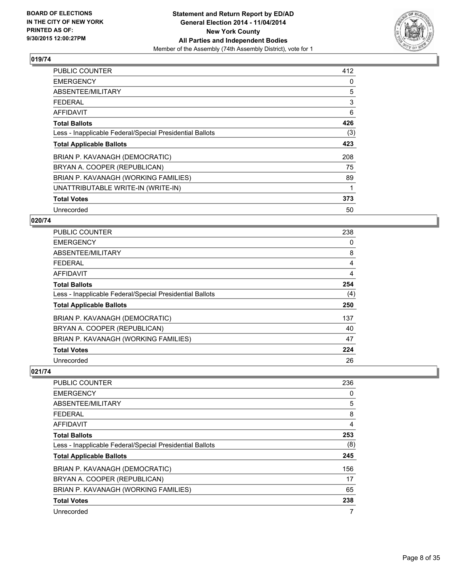

| <b>PUBLIC COUNTER</b>                                    | 412 |
|----------------------------------------------------------|-----|
| <b>EMERGENCY</b>                                         | 0   |
| ABSENTEE/MILITARY                                        | 5   |
| <b>FEDERAL</b>                                           | 3   |
| AFFIDAVIT                                                | 6   |
| <b>Total Ballots</b>                                     | 426 |
| Less - Inapplicable Federal/Special Presidential Ballots | (3) |
| <b>Total Applicable Ballots</b>                          | 423 |
| BRIAN P. KAVANAGH (DEMOCRATIC)                           | 208 |
| BRYAN A. COOPER (REPUBLICAN)                             | 75  |
| BRIAN P. KAVANAGH (WORKING FAMILIES)                     | 89  |
| UNATTRIBUTABLE WRITE-IN (WRITE-IN)                       |     |
| <b>Total Votes</b>                                       | 373 |
| Unrecorded                                               | 50  |

## **020/74**

| <b>PUBLIC COUNTER</b>                                    | 238 |
|----------------------------------------------------------|-----|
| <b>EMERGENCY</b>                                         | 0   |
| ABSENTEE/MILITARY                                        | 8   |
| <b>FEDERAL</b>                                           | 4   |
| AFFIDAVIT                                                | 4   |
| <b>Total Ballots</b>                                     | 254 |
| Less - Inapplicable Federal/Special Presidential Ballots | (4) |
| <b>Total Applicable Ballots</b>                          | 250 |
| BRIAN P. KAVANAGH (DEMOCRATIC)                           | 137 |
| BRYAN A. COOPER (REPUBLICAN)                             | 40  |
| BRIAN P. KAVANAGH (WORKING FAMILIES)                     | 47  |
| <b>Total Votes</b>                                       | 224 |
| Unrecorded                                               | 26  |

| <b>PUBLIC COUNTER</b>                                    | 236            |
|----------------------------------------------------------|----------------|
| <b>EMERGENCY</b>                                         | 0              |
| ABSENTEE/MILITARY                                        | 5              |
| <b>FEDERAL</b>                                           | 8              |
| AFFIDAVIT                                                | $\overline{4}$ |
| <b>Total Ballots</b>                                     | 253            |
| Less - Inapplicable Federal/Special Presidential Ballots | (8)            |
| <b>Total Applicable Ballots</b>                          | 245            |
| BRIAN P. KAVANAGH (DEMOCRATIC)                           | 156            |
| BRYAN A. COOPER (REPUBLICAN)                             | 17             |
| BRIAN P. KAVANAGH (WORKING FAMILIES)                     | 65             |
| <b>Total Votes</b>                                       | 238            |
| Unrecorded                                               | 7              |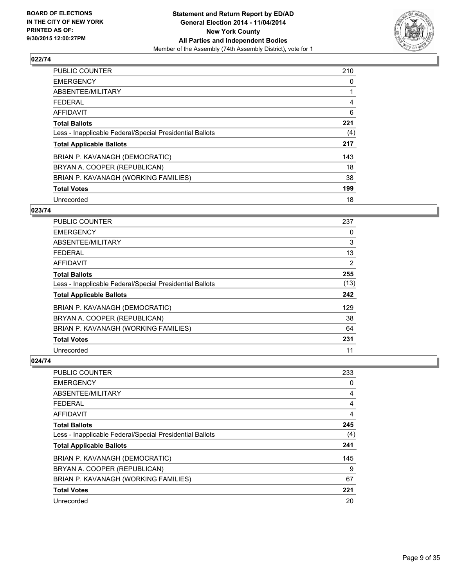

| <b>PUBLIC COUNTER</b>                                    | 210 |
|----------------------------------------------------------|-----|
| <b>EMERGENCY</b>                                         | 0   |
| ABSENTEE/MILITARY                                        |     |
| <b>FEDERAL</b>                                           | 4   |
| <b>AFFIDAVIT</b>                                         | 6   |
| <b>Total Ballots</b>                                     | 221 |
| Less - Inapplicable Federal/Special Presidential Ballots | (4) |
| <b>Total Applicable Ballots</b>                          | 217 |
| BRIAN P. KAVANAGH (DEMOCRATIC)                           | 143 |
| BRYAN A. COOPER (REPUBLICAN)                             | 18  |
| BRIAN P. KAVANAGH (WORKING FAMILIES)                     | 38  |
| <b>Total Votes</b>                                       | 199 |
| Unrecorded                                               | 18  |

## **023/74**

| PUBLIC COUNTER                                           | 237  |
|----------------------------------------------------------|------|
| <b>EMERGENCY</b>                                         | 0    |
| ABSENTEE/MILITARY                                        | 3    |
| <b>FEDERAL</b>                                           | 13   |
| <b>AFFIDAVIT</b>                                         | 2    |
| <b>Total Ballots</b>                                     | 255  |
| Less - Inapplicable Federal/Special Presidential Ballots | (13) |
| <b>Total Applicable Ballots</b>                          | 242  |
| BRIAN P. KAVANAGH (DEMOCRATIC)                           | 129  |
| BRYAN A. COOPER (REPUBLICAN)                             | 38   |
| BRIAN P. KAVANAGH (WORKING FAMILIES)                     | 64   |
| <b>Total Votes</b>                                       | 231  |
| Unrecorded                                               | 11   |

| <b>PUBLIC COUNTER</b>                                    | 233 |
|----------------------------------------------------------|-----|
| <b>EMERGENCY</b>                                         | 0   |
| ABSENTEE/MILITARY                                        | 4   |
| <b>FEDERAL</b>                                           | 4   |
| <b>AFFIDAVIT</b>                                         | 4   |
| <b>Total Ballots</b>                                     | 245 |
| Less - Inapplicable Federal/Special Presidential Ballots | (4) |
| <b>Total Applicable Ballots</b>                          | 241 |
| BRIAN P. KAVANAGH (DEMOCRATIC)                           | 145 |
| BRYAN A. COOPER (REPUBLICAN)                             | 9   |
| BRIAN P. KAVANAGH (WORKING FAMILIES)                     | 67  |
| <b>Total Votes</b>                                       | 221 |
| Unrecorded                                               | 20  |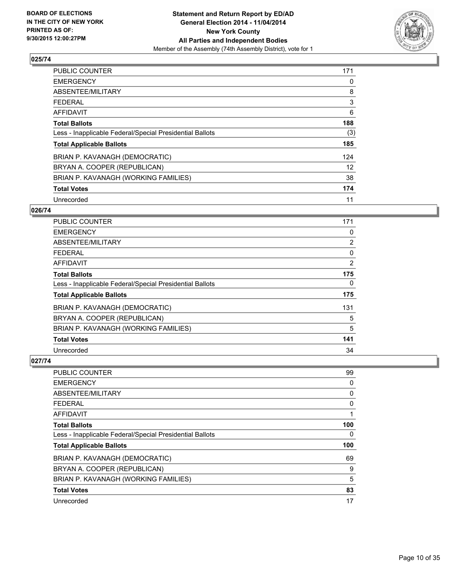

| <b>PUBLIC COUNTER</b>                                    | 171 |
|----------------------------------------------------------|-----|
| <b>EMERGENCY</b>                                         | 0   |
| ABSENTEE/MILITARY                                        | 8   |
| <b>FEDERAL</b>                                           | 3   |
| <b>AFFIDAVIT</b>                                         | 6   |
| <b>Total Ballots</b>                                     | 188 |
| Less - Inapplicable Federal/Special Presidential Ballots | (3) |
| <b>Total Applicable Ballots</b>                          | 185 |
| BRIAN P. KAVANAGH (DEMOCRATIC)                           | 124 |
| BRYAN A. COOPER (REPUBLICAN)                             | 12  |
| BRIAN P. KAVANAGH (WORKING FAMILIES)                     | 38  |
| <b>Total Votes</b>                                       | 174 |
| Unrecorded                                               | 11  |

## **026/74**

| PUBLIC COUNTER                                           | 171            |
|----------------------------------------------------------|----------------|
| <b>EMERGENCY</b>                                         | 0              |
| ABSENTEE/MILITARY                                        | $\overline{2}$ |
| <b>FEDERAL</b>                                           | 0              |
| <b>AFFIDAVIT</b>                                         | $\overline{2}$ |
| <b>Total Ballots</b>                                     | 175            |
| Less - Inapplicable Federal/Special Presidential Ballots | 0              |
| <b>Total Applicable Ballots</b>                          | 175            |
| BRIAN P. KAVANAGH (DEMOCRATIC)                           | 131            |
| BRYAN A. COOPER (REPUBLICAN)                             | 5              |
| BRIAN P. KAVANAGH (WORKING FAMILIES)                     | 5              |
| <b>Total Votes</b>                                       | 141            |
| Unrecorded                                               | 34             |

| <b>PUBLIC COUNTER</b>                                    | 99  |
|----------------------------------------------------------|-----|
| <b>EMERGENCY</b>                                         | 0   |
| ABSENTEE/MILITARY                                        | 0   |
| <b>FEDERAL</b>                                           | 0   |
| <b>AFFIDAVIT</b>                                         | 1   |
| <b>Total Ballots</b>                                     | 100 |
| Less - Inapplicable Federal/Special Presidential Ballots | 0   |
| <b>Total Applicable Ballots</b>                          | 100 |
| BRIAN P. KAVANAGH (DEMOCRATIC)                           | 69  |
| BRYAN A. COOPER (REPUBLICAN)                             | 9   |
| BRIAN P. KAVANAGH (WORKING FAMILIES)                     | 5   |
| <b>Total Votes</b>                                       | 83  |
| Unrecorded                                               | 17  |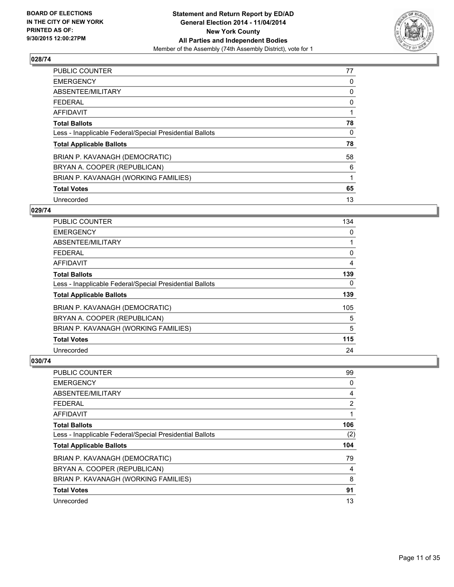

| <b>PUBLIC COUNTER</b>                                    | 77 |
|----------------------------------------------------------|----|
| <b>EMERGENCY</b>                                         | 0  |
| ABSENTEE/MILITARY                                        | 0  |
| <b>FEDERAL</b>                                           | 0  |
| AFFIDAVIT                                                |    |
| <b>Total Ballots</b>                                     | 78 |
| Less - Inapplicable Federal/Special Presidential Ballots | 0  |
| <b>Total Applicable Ballots</b>                          | 78 |
| BRIAN P. KAVANAGH (DEMOCRATIC)                           | 58 |
| BRYAN A. COOPER (REPUBLICAN)                             | 6  |
| BRIAN P. KAVANAGH (WORKING FAMILIES)                     | 1  |
| <b>Total Votes</b>                                       | 65 |
| Unrecorded                                               | 13 |

#### **029/74**

| PUBLIC COUNTER                                           | 134 |
|----------------------------------------------------------|-----|
| <b>EMERGENCY</b>                                         | 0   |
| ABSENTEE/MILITARY                                        |     |
| <b>FEDERAL</b>                                           | 0   |
| <b>AFFIDAVIT</b>                                         | 4   |
| <b>Total Ballots</b>                                     | 139 |
| Less - Inapplicable Federal/Special Presidential Ballots | 0   |
| <b>Total Applicable Ballots</b>                          | 139 |
| BRIAN P. KAVANAGH (DEMOCRATIC)                           | 105 |
| BRYAN A. COOPER (REPUBLICAN)                             | 5   |
| BRIAN P. KAVANAGH (WORKING FAMILIES)                     | 5   |
| <b>Total Votes</b>                                       | 115 |
| Unrecorded                                               | 24  |

| <b>PUBLIC COUNTER</b>                                    | 99  |
|----------------------------------------------------------|-----|
| <b>EMERGENCY</b>                                         | 0   |
| ABSENTEE/MILITARY                                        | 4   |
| <b>FEDERAL</b>                                           | 2   |
| <b>AFFIDAVIT</b>                                         | 1   |
| <b>Total Ballots</b>                                     | 106 |
| Less - Inapplicable Federal/Special Presidential Ballots | (2) |
| <b>Total Applicable Ballots</b>                          | 104 |
| BRIAN P. KAVANAGH (DEMOCRATIC)                           | 79  |
| BRYAN A. COOPER (REPUBLICAN)                             | 4   |
| BRIAN P. KAVANAGH (WORKING FAMILIES)                     | 8   |
| <b>Total Votes</b>                                       | 91  |
| Unrecorded                                               | 13  |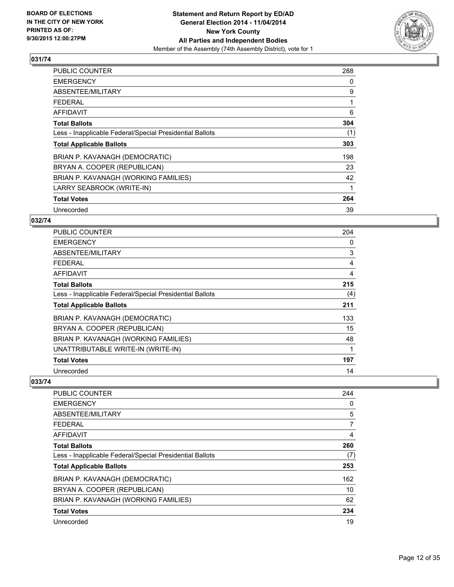

| <b>PUBLIC COUNTER</b>                                    | 288 |
|----------------------------------------------------------|-----|
| <b>EMERGENCY</b>                                         | 0   |
| ABSENTEE/MILITARY                                        | 9   |
| <b>FEDERAL</b>                                           | 1   |
| <b>AFFIDAVIT</b>                                         | 6   |
| <b>Total Ballots</b>                                     | 304 |
| Less - Inapplicable Federal/Special Presidential Ballots | (1) |
| <b>Total Applicable Ballots</b>                          | 303 |
| BRIAN P. KAVANAGH (DEMOCRATIC)                           | 198 |
| BRYAN A. COOPER (REPUBLICAN)                             | 23  |
| BRIAN P. KAVANAGH (WORKING FAMILIES)                     | 42  |
| LARRY SEABROOK (WRITE-IN)                                | 1   |
| <b>Total Votes</b>                                       | 264 |
| Unrecorded                                               | 39  |

## **032/74**

| PUBLIC COUNTER                                           | 204 |
|----------------------------------------------------------|-----|
| <b>EMERGENCY</b>                                         | 0   |
| ABSENTEE/MILITARY                                        | 3   |
| <b>FEDERAL</b>                                           | 4   |
| AFFIDAVIT                                                | 4   |
| <b>Total Ballots</b>                                     | 215 |
| Less - Inapplicable Federal/Special Presidential Ballots | (4) |
| <b>Total Applicable Ballots</b>                          | 211 |
| BRIAN P. KAVANAGH (DEMOCRATIC)                           | 133 |
| BRYAN A. COOPER (REPUBLICAN)                             | 15  |
| BRIAN P. KAVANAGH (WORKING FAMILIES)                     | 48  |
| UNATTRIBUTABLE WRITE-IN (WRITE-IN)                       | 1   |
| <b>Total Votes</b>                                       | 197 |
| Unrecorded                                               | 14  |

| <b>PUBLIC COUNTER</b>                                    | 244 |
|----------------------------------------------------------|-----|
| <b>EMERGENCY</b>                                         | 0   |
| ABSENTEE/MILITARY                                        | 5   |
| <b>FEDERAL</b>                                           | 7   |
| AFFIDAVIT                                                | 4   |
| <b>Total Ballots</b>                                     | 260 |
| Less - Inapplicable Federal/Special Presidential Ballots | (7) |
| <b>Total Applicable Ballots</b>                          | 253 |
| BRIAN P. KAVANAGH (DEMOCRATIC)                           | 162 |
| BRYAN A. COOPER (REPUBLICAN)                             | 10  |
| BRIAN P. KAVANAGH (WORKING FAMILIES)                     | 62  |
| <b>Total Votes</b>                                       | 234 |
| Unrecorded                                               | 19  |
|                                                          |     |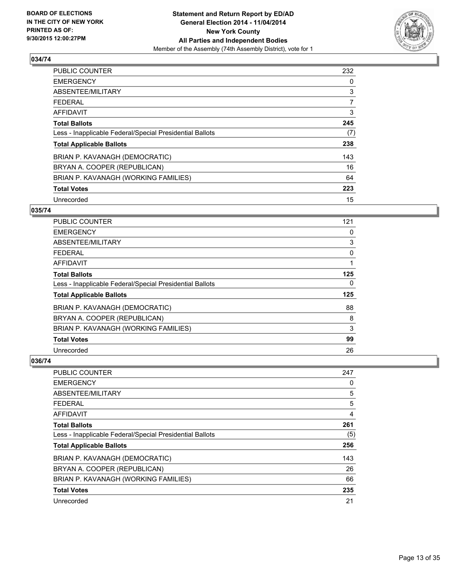

| <b>PUBLIC COUNTER</b>                                    | 232            |
|----------------------------------------------------------|----------------|
| <b>EMERGENCY</b>                                         | 0              |
| ABSENTEE/MILITARY                                        | 3              |
| <b>FEDERAL</b>                                           | $\overline{7}$ |
| <b>AFFIDAVIT</b>                                         | 3              |
| <b>Total Ballots</b>                                     | 245            |
| Less - Inapplicable Federal/Special Presidential Ballots | (7)            |
| <b>Total Applicable Ballots</b>                          | 238            |
| BRIAN P. KAVANAGH (DEMOCRATIC)                           | 143            |
| BRYAN A. COOPER (REPUBLICAN)                             | 16             |
| BRIAN P. KAVANAGH (WORKING FAMILIES)                     | 64             |
| <b>Total Votes</b>                                       | 223            |
| Unrecorded                                               | 15             |

#### **035/74**

| PUBLIC COUNTER                                           | 121 |
|----------------------------------------------------------|-----|
| <b>EMERGENCY</b>                                         | 0   |
| ABSENTEE/MILITARY                                        | 3   |
| <b>FEDERAL</b>                                           | 0   |
| <b>AFFIDAVIT</b>                                         |     |
| <b>Total Ballots</b>                                     | 125 |
| Less - Inapplicable Federal/Special Presidential Ballots | 0   |
| <b>Total Applicable Ballots</b>                          | 125 |
| BRIAN P. KAVANAGH (DEMOCRATIC)                           | 88  |
| BRYAN A. COOPER (REPUBLICAN)                             | 8   |
| BRIAN P. KAVANAGH (WORKING FAMILIES)                     | 3   |
| <b>Total Votes</b>                                       | 99  |
| Unrecorded                                               | 26  |

| <b>PUBLIC COUNTER</b>                                    | 247 |
|----------------------------------------------------------|-----|
| <b>EMERGENCY</b>                                         | 0   |
| ABSENTEE/MILITARY                                        | 5   |
| <b>FEDERAL</b>                                           | 5   |
| <b>AFFIDAVIT</b>                                         | 4   |
| <b>Total Ballots</b>                                     | 261 |
| Less - Inapplicable Federal/Special Presidential Ballots | (5) |
| <b>Total Applicable Ballots</b>                          | 256 |
| BRIAN P. KAVANAGH (DEMOCRATIC)                           | 143 |
| BRYAN A. COOPER (REPUBLICAN)                             | 26  |
| BRIAN P. KAVANAGH (WORKING FAMILIES)                     | 66  |
| <b>Total Votes</b>                                       | 235 |
| Unrecorded                                               | 21  |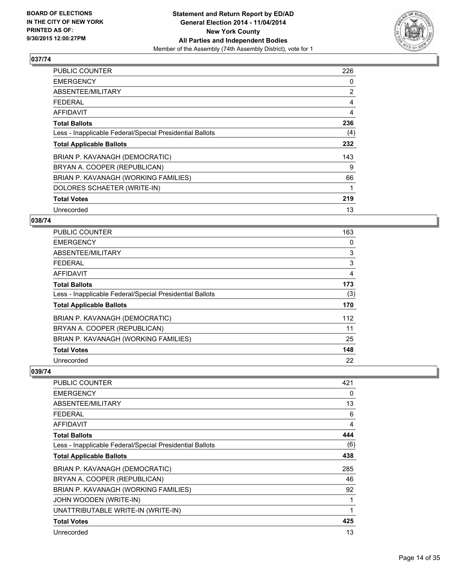

| <b>PUBLIC COUNTER</b>                                    | 226            |
|----------------------------------------------------------|----------------|
| <b>EMERGENCY</b>                                         | 0              |
| ABSENTEE/MILITARY                                        | $\overline{2}$ |
| <b>FEDERAL</b>                                           | 4              |
| AFFIDAVIT                                                | 4              |
| <b>Total Ballots</b>                                     | 236            |
| Less - Inapplicable Federal/Special Presidential Ballots | (4)            |
| <b>Total Applicable Ballots</b>                          | 232            |
| BRIAN P. KAVANAGH (DEMOCRATIC)                           | 143            |
| BRYAN A. COOPER (REPUBLICAN)                             | 9              |
| BRIAN P. KAVANAGH (WORKING FAMILIES)                     | 66             |
| DOLORES SCHAETER (WRITE-IN)                              |                |
| <b>Total Votes</b>                                       | 219            |
| Unrecorded                                               | 13             |

# **038/74**

| <b>PUBLIC COUNTER</b>                                    | 163 |
|----------------------------------------------------------|-----|
| <b>EMERGENCY</b>                                         | 0   |
| ABSENTEE/MILITARY                                        | 3   |
| <b>FEDERAL</b>                                           | 3   |
| AFFIDAVIT                                                | 4   |
| <b>Total Ballots</b>                                     | 173 |
| Less - Inapplicable Federal/Special Presidential Ballots | (3) |
| <b>Total Applicable Ballots</b>                          | 170 |
| BRIAN P. KAVANAGH (DEMOCRATIC)                           | 112 |
| BRYAN A. COOPER (REPUBLICAN)                             | 11  |
| BRIAN P. KAVANAGH (WORKING FAMILIES)                     | 25  |
| <b>Total Votes</b>                                       | 148 |
| Unrecorded                                               | 22  |

| <b>PUBLIC COUNTER</b>                                    | 421 |
|----------------------------------------------------------|-----|
| <b>EMERGENCY</b>                                         | 0   |
| ABSENTEE/MILITARY                                        | 13  |
| <b>FEDERAL</b>                                           | 6   |
| <b>AFFIDAVIT</b>                                         | 4   |
| <b>Total Ballots</b>                                     | 444 |
| Less - Inapplicable Federal/Special Presidential Ballots | (6) |
| <b>Total Applicable Ballots</b>                          | 438 |
| BRIAN P. KAVANAGH (DEMOCRATIC)                           | 285 |
| BRYAN A. COOPER (REPUBLICAN)                             | 46  |
| BRIAN P. KAVANAGH (WORKING FAMILIES)                     | 92  |
| JOHN WOODEN (WRITE-IN)                                   |     |
| UNATTRIBUTABLE WRITE-IN (WRITE-IN)                       | 1   |
| <b>Total Votes</b>                                       | 425 |
| Unrecorded                                               | 13  |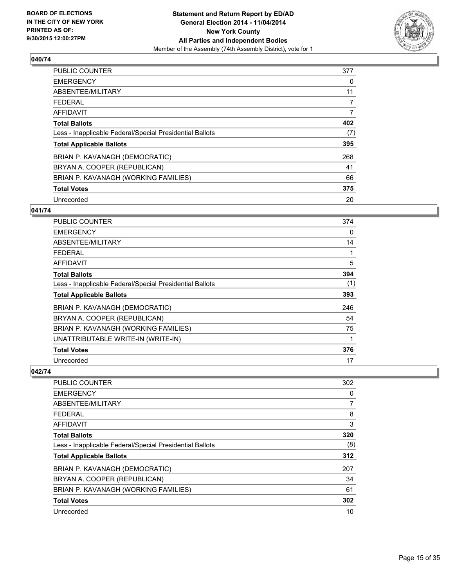

| <b>PUBLIC COUNTER</b>                                    | 377            |
|----------------------------------------------------------|----------------|
| <b>EMERGENCY</b>                                         | 0              |
| ABSENTEE/MILITARY                                        | 11             |
| <b>FEDERAL</b>                                           | 7              |
| AFFIDAVIT                                                | $\overline{7}$ |
| <b>Total Ballots</b>                                     | 402            |
| Less - Inapplicable Federal/Special Presidential Ballots | (7)            |
| <b>Total Applicable Ballots</b>                          | 395            |
| BRIAN P. KAVANAGH (DEMOCRATIC)                           | 268            |
| BRYAN A. COOPER (REPUBLICAN)                             | 41             |
| BRIAN P. KAVANAGH (WORKING FAMILIES)                     | 66             |
| <b>Total Votes</b>                                       | 375            |
| Unrecorded                                               | 20             |

#### **041/74**

| <b>PUBLIC COUNTER</b>                                    | 374 |
|----------------------------------------------------------|-----|
| <b>EMERGENCY</b>                                         | 0   |
| ABSENTEE/MILITARY                                        | 14  |
| <b>FEDERAL</b>                                           | 1   |
| AFFIDAVIT                                                | 5   |
| <b>Total Ballots</b>                                     | 394 |
| Less - Inapplicable Federal/Special Presidential Ballots | (1) |
| <b>Total Applicable Ballots</b>                          | 393 |
| BRIAN P. KAVANAGH (DEMOCRATIC)                           | 246 |
| BRYAN A. COOPER (REPUBLICAN)                             | 54  |
| BRIAN P. KAVANAGH (WORKING FAMILIES)                     | 75  |
| UNATTRIBUTABLE WRITE-IN (WRITE-IN)                       | 1   |
| <b>Total Votes</b>                                       | 376 |
| Unrecorded                                               | 17  |

| <b>PUBLIC COUNTER</b>                                    | 302 |
|----------------------------------------------------------|-----|
| <b>EMERGENCY</b>                                         | 0   |
| ABSENTEE/MILITARY                                        | 7   |
| <b>FEDERAL</b>                                           | 8   |
| AFFIDAVIT                                                | 3   |
| <b>Total Ballots</b>                                     | 320 |
| Less - Inapplicable Federal/Special Presidential Ballots | (8) |
| <b>Total Applicable Ballots</b>                          | 312 |
| BRIAN P. KAVANAGH (DEMOCRATIC)                           | 207 |
| BRYAN A. COOPER (REPUBLICAN)                             | 34  |
| BRIAN P. KAVANAGH (WORKING FAMILIES)                     | 61  |
| <b>Total Votes</b>                                       | 302 |
| Unrecorded                                               | 10  |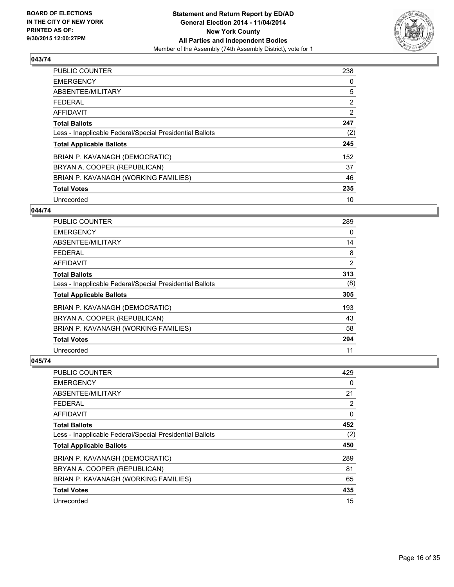

| <b>PUBLIC COUNTER</b>                                    | 238            |
|----------------------------------------------------------|----------------|
| <b>EMERGENCY</b>                                         | 0              |
| ABSENTEE/MILITARY                                        | 5              |
| FEDERAL                                                  | $\overline{2}$ |
| <b>AFFIDAVIT</b>                                         | 2              |
| <b>Total Ballots</b>                                     | 247            |
| Less - Inapplicable Federal/Special Presidential Ballots | (2)            |
| <b>Total Applicable Ballots</b>                          | 245            |
| BRIAN P. KAVANAGH (DEMOCRATIC)                           | 152            |
| BRYAN A. COOPER (REPUBLICAN)                             | 37             |
| BRIAN P. KAVANAGH (WORKING FAMILIES)                     | 46             |
| <b>Total Votes</b>                                       | 235            |
| Unrecorded                                               | 10             |

#### **044/74**

| PUBLIC COUNTER                                           | 289 |
|----------------------------------------------------------|-----|
| <b>EMERGENCY</b>                                         | 0   |
| ABSENTEE/MILITARY                                        | 14  |
| <b>FEDERAL</b>                                           | 8   |
| AFFIDAVIT                                                | 2   |
| <b>Total Ballots</b>                                     | 313 |
| Less - Inapplicable Federal/Special Presidential Ballots | (8) |
| <b>Total Applicable Ballots</b>                          | 305 |
| BRIAN P. KAVANAGH (DEMOCRATIC)                           | 193 |
| BRYAN A. COOPER (REPUBLICAN)                             | 43  |
| BRIAN P. KAVANAGH (WORKING FAMILIES)                     | 58  |
| <b>Total Votes</b>                                       | 294 |
| Unrecorded                                               | 11  |

| PUBLIC COUNTER                                           | 429 |
|----------------------------------------------------------|-----|
| <b>EMERGENCY</b>                                         | 0   |
| ABSENTEE/MILITARY                                        | 21  |
| <b>FEDERAL</b>                                           | 2   |
| <b>AFFIDAVIT</b>                                         | 0   |
| <b>Total Ballots</b>                                     | 452 |
| Less - Inapplicable Federal/Special Presidential Ballots | (2) |
| <b>Total Applicable Ballots</b>                          | 450 |
| BRIAN P. KAVANAGH (DEMOCRATIC)                           | 289 |
| BRYAN A. COOPER (REPUBLICAN)                             | 81  |
| BRIAN P. KAVANAGH (WORKING FAMILIES)                     | 65  |
| <b>Total Votes</b>                                       | 435 |
| Unrecorded                                               | 15  |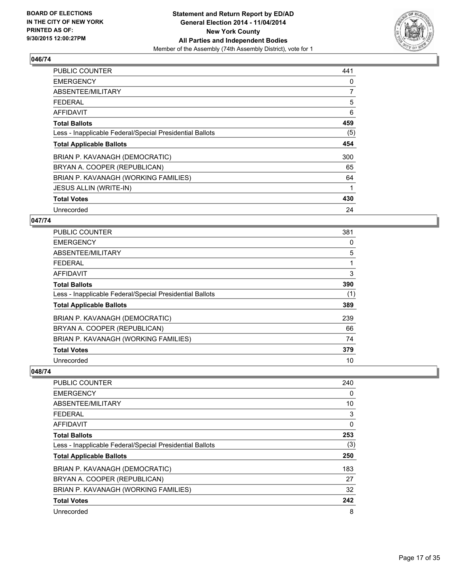

| <b>PUBLIC COUNTER</b>                                    | 441 |
|----------------------------------------------------------|-----|
| <b>EMERGENCY</b>                                         | 0   |
| ABSENTEE/MILITARY                                        | 7   |
| <b>FEDERAL</b>                                           | 5   |
| <b>AFFIDAVIT</b>                                         | 6   |
| <b>Total Ballots</b>                                     | 459 |
| Less - Inapplicable Federal/Special Presidential Ballots | (5) |
| <b>Total Applicable Ballots</b>                          | 454 |
| BRIAN P. KAVANAGH (DEMOCRATIC)                           | 300 |
| BRYAN A. COOPER (REPUBLICAN)                             | 65  |
| BRIAN P. KAVANAGH (WORKING FAMILIES)                     | 64  |
| <b>JESUS ALLIN (WRITE-IN)</b>                            | 1   |
| <b>Total Votes</b>                                       | 430 |
| Unrecorded                                               | 24  |

#### **047/74**

| <b>PUBLIC COUNTER</b>                                    | 381 |
|----------------------------------------------------------|-----|
| <b>EMERGENCY</b>                                         | 0   |
| ABSENTEE/MILITARY                                        | 5   |
| <b>FEDERAL</b>                                           |     |
| <b>AFFIDAVIT</b>                                         | 3   |
| <b>Total Ballots</b>                                     | 390 |
| Less - Inapplicable Federal/Special Presidential Ballots | (1) |
| <b>Total Applicable Ballots</b>                          | 389 |
| BRIAN P. KAVANAGH (DEMOCRATIC)                           | 239 |
| BRYAN A. COOPER (REPUBLICAN)                             | 66  |
| BRIAN P. KAVANAGH (WORKING FAMILIES)                     | 74  |
| <b>Total Votes</b>                                       | 379 |
| Unrecorded                                               | 10  |

| <b>PUBLIC COUNTER</b>                                    | 240 |
|----------------------------------------------------------|-----|
| <b>EMERGENCY</b>                                         | 0   |
| ABSENTEE/MILITARY                                        | 10  |
| <b>FEDERAL</b>                                           | 3   |
| AFFIDAVIT                                                | 0   |
| <b>Total Ballots</b>                                     | 253 |
| Less - Inapplicable Federal/Special Presidential Ballots | (3) |
| <b>Total Applicable Ballots</b>                          | 250 |
| BRIAN P. KAVANAGH (DEMOCRATIC)                           | 183 |
| BRYAN A. COOPER (REPUBLICAN)                             | 27  |
| BRIAN P. KAVANAGH (WORKING FAMILIES)                     | 32  |
| <b>Total Votes</b>                                       | 242 |
| Unrecorded                                               | 8   |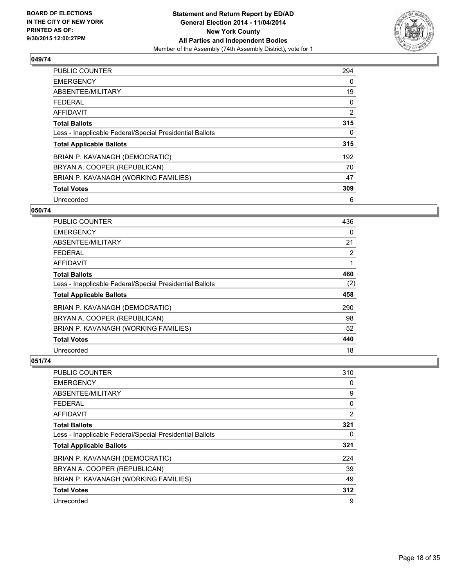

| <b>PUBLIC COUNTER</b>                                    | 294 |
|----------------------------------------------------------|-----|
| <b>EMERGENCY</b>                                         | 0   |
| ABSENTEE/MILITARY                                        | 19  |
| <b>FEDERAL</b>                                           | 0   |
| AFFIDAVIT                                                | 2   |
| <b>Total Ballots</b>                                     | 315 |
| Less - Inapplicable Federal/Special Presidential Ballots | 0   |
| <b>Total Applicable Ballots</b>                          | 315 |
| BRIAN P. KAVANAGH (DEMOCRATIC)                           | 192 |
| BRYAN A. COOPER (REPUBLICAN)                             | 70  |
| BRIAN P. KAVANAGH (WORKING FAMILIES)                     | 47  |
| <b>Total Votes</b>                                       | 309 |
| Unrecorded                                               | 6   |

#### **050/74**

| PUBLIC COUNTER                                           | 436                   |
|----------------------------------------------------------|-----------------------|
| <b>EMERGENCY</b>                                         | $\Omega$              |
| ABSENTEE/MILITARY                                        | 21                    |
| <b>FEDERAL</b>                                           | $\mathbf{2}^{\prime}$ |
| <b>AFFIDAVIT</b>                                         |                       |
| <b>Total Ballots</b>                                     | 460                   |
| Less - Inapplicable Federal/Special Presidential Ballots | (2)                   |
| <b>Total Applicable Ballots</b>                          | 458                   |
| BRIAN P. KAVANAGH (DEMOCRATIC)                           | 290                   |
| BRYAN A. COOPER (REPUBLICAN)                             | 98                    |
| BRIAN P. KAVANAGH (WORKING FAMILIES)                     | 52                    |
| <b>Total Votes</b>                                       | 440                   |
| Unrecorded                                               | 18                    |

| PUBLIC COUNTER                                           | 310 |
|----------------------------------------------------------|-----|
| <b>EMERGENCY</b>                                         | 0   |
| ABSENTEE/MILITARY                                        | 9   |
| <b>FEDERAL</b>                                           | 0   |
| <b>AFFIDAVIT</b>                                         | 2   |
| <b>Total Ballots</b>                                     | 321 |
| Less - Inapplicable Federal/Special Presidential Ballots | 0   |
| <b>Total Applicable Ballots</b>                          | 321 |
| BRIAN P. KAVANAGH (DEMOCRATIC)                           | 224 |
| BRYAN A. COOPER (REPUBLICAN)                             | 39  |
| BRIAN P. KAVANAGH (WORKING FAMILIES)                     | 49  |
| <b>Total Votes</b>                                       | 312 |
| Unrecorded                                               | 9   |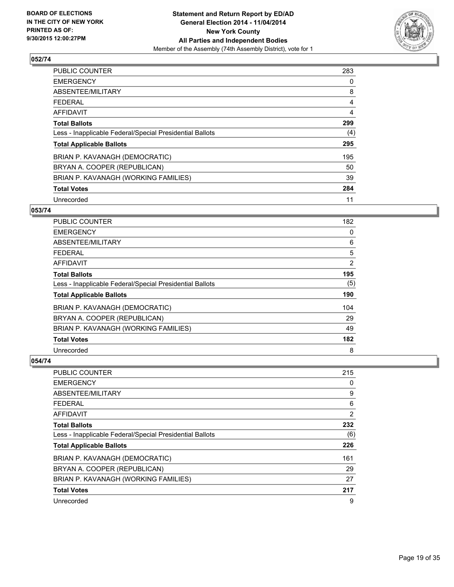

| <b>PUBLIC COUNTER</b>                                    | 283 |
|----------------------------------------------------------|-----|
| <b>EMERGENCY</b>                                         | 0   |
| ABSENTEE/MILITARY                                        | 8   |
| FEDERAL                                                  | 4   |
| <b>AFFIDAVIT</b>                                         | 4   |
| <b>Total Ballots</b>                                     | 299 |
| Less - Inapplicable Federal/Special Presidential Ballots | (4) |
| <b>Total Applicable Ballots</b>                          | 295 |
| BRIAN P. KAVANAGH (DEMOCRATIC)                           | 195 |
| BRYAN A. COOPER (REPUBLICAN)                             | 50  |
| BRIAN P. KAVANAGH (WORKING FAMILIES)                     | 39  |
| <b>Total Votes</b>                                       | 284 |
| Unrecorded                                               | 11  |

#### **053/74**

| PUBLIC COUNTER                                           | 182            |
|----------------------------------------------------------|----------------|
| <b>EMERGENCY</b>                                         | 0              |
| ABSENTEE/MILITARY                                        | 6              |
| <b>FEDERAL</b>                                           | 5              |
| AFFIDAVIT                                                | $\overline{2}$ |
| <b>Total Ballots</b>                                     | 195            |
| Less - Inapplicable Federal/Special Presidential Ballots | (5)            |
| <b>Total Applicable Ballots</b>                          | 190            |
| BRIAN P. KAVANAGH (DEMOCRATIC)                           | 104            |
| BRYAN A. COOPER (REPUBLICAN)                             | 29             |
| BRIAN P. KAVANAGH (WORKING FAMILIES)                     | 49             |
| <b>Total Votes</b>                                       | 182            |
| Unrecorded                                               | 8              |

| PUBLIC COUNTER                                           | 215 |
|----------------------------------------------------------|-----|
| <b>EMERGENCY</b>                                         | 0   |
| ABSENTEE/MILITARY                                        | 9   |
| <b>FEDERAL</b>                                           | 6   |
| <b>AFFIDAVIT</b>                                         | 2   |
| <b>Total Ballots</b>                                     | 232 |
| Less - Inapplicable Federal/Special Presidential Ballots | (6) |
| <b>Total Applicable Ballots</b>                          | 226 |
| BRIAN P. KAVANAGH (DEMOCRATIC)                           | 161 |
| BRYAN A. COOPER (REPUBLICAN)                             | 29  |
| BRIAN P. KAVANAGH (WORKING FAMILIES)                     | 27  |
| <b>Total Votes</b>                                       | 217 |
| Unrecorded                                               | 9   |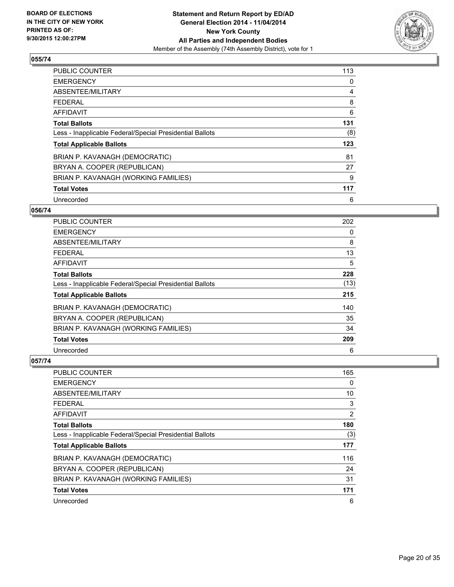

| PUBLIC COUNTER                                           | 113 |
|----------------------------------------------------------|-----|
| <b>EMERGENCY</b>                                         | 0   |
| ABSENTEE/MILITARY                                        | 4   |
| <b>FEDERAL</b>                                           | 8   |
| AFFIDAVIT                                                | 6   |
| <b>Total Ballots</b>                                     | 131 |
| Less - Inapplicable Federal/Special Presidential Ballots | (8) |
| <b>Total Applicable Ballots</b>                          | 123 |
| BRIAN P. KAVANAGH (DEMOCRATIC)                           | 81  |
| BRYAN A. COOPER (REPUBLICAN)                             | 27  |
| BRIAN P. KAVANAGH (WORKING FAMILIES)                     | 9   |
| <b>Total Votes</b>                                       | 117 |
| Unrecorded                                               | 6   |

#### **056/74**

| PUBLIC COUNTER                                           | 202  |
|----------------------------------------------------------|------|
| <b>EMERGENCY</b>                                         | 0    |
| ABSENTEE/MILITARY                                        | 8    |
| <b>FEDERAL</b>                                           | 13   |
| <b>AFFIDAVIT</b>                                         | 5    |
| <b>Total Ballots</b>                                     | 228  |
| Less - Inapplicable Federal/Special Presidential Ballots | (13) |
| <b>Total Applicable Ballots</b>                          | 215  |
| BRIAN P. KAVANAGH (DEMOCRATIC)                           | 140  |
| BRYAN A. COOPER (REPUBLICAN)                             | 35   |
| BRIAN P. KAVANAGH (WORKING FAMILIES)                     | 34   |
| <b>Total Votes</b>                                       | 209  |
| Unrecorded                                               | 6    |

| PUBLIC COUNTER                                           | 165 |
|----------------------------------------------------------|-----|
| <b>EMERGENCY</b>                                         | 0   |
| ABSENTEE/MILITARY                                        | 10  |
| <b>FEDERAL</b>                                           | 3   |
| <b>AFFIDAVIT</b>                                         | 2   |
| <b>Total Ballots</b>                                     | 180 |
| Less - Inapplicable Federal/Special Presidential Ballots | (3) |
| <b>Total Applicable Ballots</b>                          | 177 |
| BRIAN P. KAVANAGH (DEMOCRATIC)                           | 116 |
| BRYAN A. COOPER (REPUBLICAN)                             | 24  |
| BRIAN P. KAVANAGH (WORKING FAMILIES)                     | 31  |
| <b>Total Votes</b>                                       | 171 |
| Unrecorded                                               | 6   |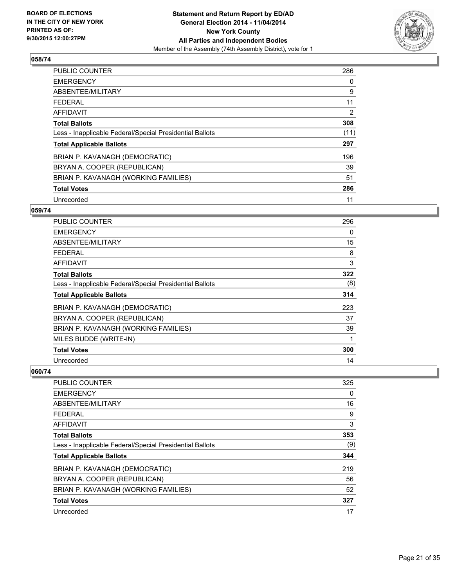

| <b>PUBLIC COUNTER</b>                                    | 286  |
|----------------------------------------------------------|------|
| <b>EMERGENCY</b>                                         | 0    |
| ABSENTEE/MILITARY                                        | 9    |
| <b>FEDERAL</b>                                           | 11   |
| <b>AFFIDAVIT</b>                                         | 2    |
| <b>Total Ballots</b>                                     | 308  |
| Less - Inapplicable Federal/Special Presidential Ballots | (11) |
| <b>Total Applicable Ballots</b>                          | 297  |
| BRIAN P. KAVANAGH (DEMOCRATIC)                           | 196  |
| BRYAN A. COOPER (REPUBLICAN)                             | 39   |
| BRIAN P. KAVANAGH (WORKING FAMILIES)                     | 51   |
| <b>Total Votes</b>                                       | 286  |
| Unrecorded                                               | 11   |

#### **059/74**

| PUBLIC COUNTER                                           | 296 |
|----------------------------------------------------------|-----|
| <b>EMERGENCY</b>                                         | 0   |
| ABSENTEE/MILITARY                                        | 15  |
| <b>FEDERAL</b>                                           | 8   |
| AFFIDAVIT                                                | 3   |
| <b>Total Ballots</b>                                     | 322 |
| Less - Inapplicable Federal/Special Presidential Ballots | (8) |
| <b>Total Applicable Ballots</b>                          | 314 |
| BRIAN P. KAVANAGH (DEMOCRATIC)                           | 223 |
| BRYAN A. COOPER (REPUBLICAN)                             | 37  |
| BRIAN P. KAVANAGH (WORKING FAMILIES)                     | 39  |
| MILES BUDDE (WRITE-IN)                                   |     |
| <b>Total Votes</b>                                       | 300 |
| Unrecorded                                               | 14  |

| <b>PUBLIC COUNTER</b>                                    | 325 |
|----------------------------------------------------------|-----|
| <b>EMERGENCY</b>                                         | 0   |
| ABSENTEE/MILITARY                                        | 16  |
| FFDFRAI                                                  | 9   |
| AFFIDAVIT                                                | 3   |
| <b>Total Ballots</b>                                     | 353 |
| Less - Inapplicable Federal/Special Presidential Ballots | (9) |
| <b>Total Applicable Ballots</b>                          | 344 |
| BRIAN P. KAVANAGH (DEMOCRATIC)                           | 219 |
| BRYAN A. COOPER (REPUBLICAN)                             | 56  |
| BRIAN P. KAVANAGH (WORKING FAMILIES)                     | 52  |
| <b>Total Votes</b>                                       | 327 |
| Unrecorded                                               | 17  |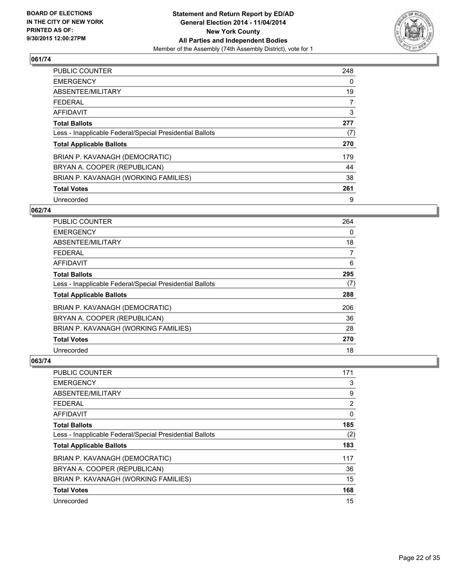

| <b>PUBLIC COUNTER</b>                                    | 248 |
|----------------------------------------------------------|-----|
| <b>EMERGENCY</b>                                         | 0   |
| ABSENTEE/MILITARY                                        | 19  |
| <b>FEDERAL</b>                                           | 7   |
| <b>AFFIDAVIT</b>                                         | 3   |
| <b>Total Ballots</b>                                     | 277 |
| Less - Inapplicable Federal/Special Presidential Ballots | (7) |
| <b>Total Applicable Ballots</b>                          | 270 |
| BRIAN P. KAVANAGH (DEMOCRATIC)                           | 179 |
| BRYAN A. COOPER (REPUBLICAN)                             | 44  |
| BRIAN P. KAVANAGH (WORKING FAMILIES)                     | 38  |
| <b>Total Votes</b>                                       | 261 |
| Unrecorded                                               | 9   |

#### **062/74**

| PUBLIC COUNTER                                           | 264 |
|----------------------------------------------------------|-----|
| <b>EMERGENCY</b>                                         | 0   |
| ABSENTEE/MILITARY                                        | 18  |
| <b>FEDERAL</b>                                           | 7   |
| AFFIDAVIT                                                | 6   |
| <b>Total Ballots</b>                                     | 295 |
| Less - Inapplicable Federal/Special Presidential Ballots | (7) |
| <b>Total Applicable Ballots</b>                          | 288 |
| BRIAN P. KAVANAGH (DEMOCRATIC)                           | 206 |
| BRYAN A. COOPER (REPUBLICAN)                             | 36  |
| BRIAN P. KAVANAGH (WORKING FAMILIES)                     | 28  |
| <b>Total Votes</b>                                       | 270 |
| Unrecorded                                               | 18  |

| PUBLIC COUNTER                                           | 171 |
|----------------------------------------------------------|-----|
| <b>EMERGENCY</b>                                         | 3   |
| ABSENTEE/MILITARY                                        | 9   |
| <b>FEDERAL</b>                                           | 2   |
| <b>AFFIDAVIT</b>                                         | 0   |
| <b>Total Ballots</b>                                     | 185 |
| Less - Inapplicable Federal/Special Presidential Ballots | (2) |
| <b>Total Applicable Ballots</b>                          | 183 |
| BRIAN P. KAVANAGH (DEMOCRATIC)                           | 117 |
| BRYAN A. COOPER (REPUBLICAN)                             | 36  |
| BRIAN P. KAVANAGH (WORKING FAMILIES)                     | 15  |
| <b>Total Votes</b>                                       | 168 |
| Unrecorded                                               | 15  |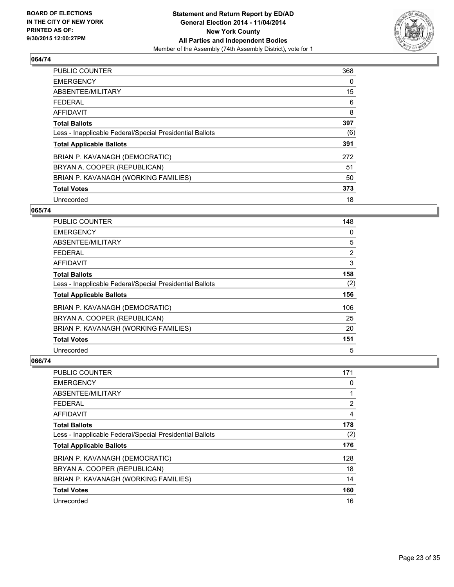

| <b>PUBLIC COUNTER</b>                                    | 368 |
|----------------------------------------------------------|-----|
| <b>EMERGENCY</b>                                         | 0   |
| ABSENTEE/MILITARY                                        | 15  |
| <b>FEDERAL</b>                                           | 6   |
| <b>AFFIDAVIT</b>                                         | 8   |
| <b>Total Ballots</b>                                     | 397 |
| Less - Inapplicable Federal/Special Presidential Ballots | (6) |
| <b>Total Applicable Ballots</b>                          | 391 |
| BRIAN P. KAVANAGH (DEMOCRATIC)                           | 272 |
| BRYAN A. COOPER (REPUBLICAN)                             | 51  |
| BRIAN P. KAVANAGH (WORKING FAMILIES)                     | 50  |
| <b>Total Votes</b>                                       | 373 |
| Unrecorded                                               | 18  |

#### **065/74**

| PUBLIC COUNTER                                           | 148            |
|----------------------------------------------------------|----------------|
| <b>EMERGENCY</b>                                         | 0              |
| ABSENTEE/MILITARY                                        | 5              |
| <b>FEDERAL</b>                                           | $\overline{2}$ |
| AFFIDAVIT                                                | 3              |
| <b>Total Ballots</b>                                     | 158            |
| Less - Inapplicable Federal/Special Presidential Ballots | (2)            |
| <b>Total Applicable Ballots</b>                          | 156            |
| BRIAN P. KAVANAGH (DEMOCRATIC)                           | 106            |
| BRYAN A. COOPER (REPUBLICAN)                             | 25             |
| BRIAN P. KAVANAGH (WORKING FAMILIES)                     | 20             |
| <b>Total Votes</b>                                       | 151            |
| Unrecorded                                               | 5              |

| PUBLIC COUNTER                                           | 171 |
|----------------------------------------------------------|-----|
| <b>EMERGENCY</b>                                         | 0   |
| ABSENTEE/MILITARY                                        | 1   |
| <b>FEDERAL</b>                                           | 2   |
| <b>AFFIDAVIT</b>                                         | 4   |
| <b>Total Ballots</b>                                     | 178 |
| Less - Inapplicable Federal/Special Presidential Ballots | (2) |
| <b>Total Applicable Ballots</b>                          | 176 |
| BRIAN P. KAVANAGH (DEMOCRATIC)                           | 128 |
| BRYAN A. COOPER (REPUBLICAN)                             | 18  |
| BRIAN P. KAVANAGH (WORKING FAMILIES)                     | 14  |
| <b>Total Votes</b>                                       | 160 |
| Unrecorded                                               | 16  |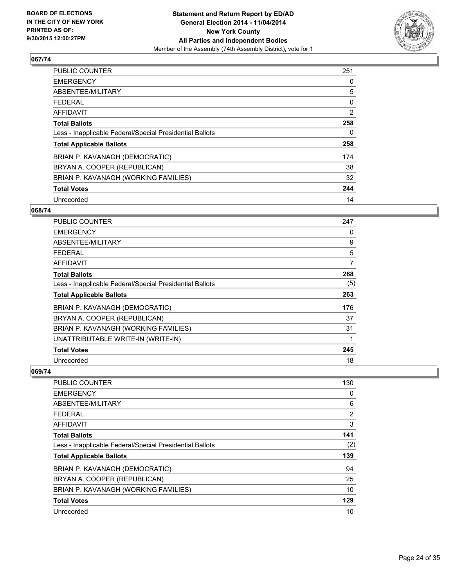

| PUBLIC COUNTER                                           | 251 |
|----------------------------------------------------------|-----|
| <b>EMERGENCY</b>                                         | 0   |
| ABSENTEE/MILITARY                                        | 5   |
| <b>FEDERAL</b>                                           | 0   |
| AFFIDAVIT                                                | 2   |
| <b>Total Ballots</b>                                     | 258 |
| Less - Inapplicable Federal/Special Presidential Ballots | 0   |
| <b>Total Applicable Ballots</b>                          | 258 |
| BRIAN P. KAVANAGH (DEMOCRATIC)                           | 174 |
| BRYAN A. COOPER (REPUBLICAN)                             | 38  |
| BRIAN P. KAVANAGH (WORKING FAMILIES)                     | 32  |
| <b>Total Votes</b>                                       | 244 |
| Unrecorded                                               | 14  |

#### **068/74**

| <b>PUBLIC COUNTER</b>                                    | 247 |
|----------------------------------------------------------|-----|
| <b>EMERGENCY</b>                                         | 0   |
| ABSENTEE/MILITARY                                        | 9   |
| <b>FEDERAL</b>                                           | 5   |
| AFFIDAVIT                                                | 7   |
| <b>Total Ballots</b>                                     | 268 |
| Less - Inapplicable Federal/Special Presidential Ballots | (5) |
| <b>Total Applicable Ballots</b>                          | 263 |
| BRIAN P. KAVANAGH (DEMOCRATIC)                           | 176 |
| BRYAN A. COOPER (REPUBLICAN)                             | 37  |
| BRIAN P. KAVANAGH (WORKING FAMILIES)                     | 31  |
| UNATTRIBUTABLE WRITE-IN (WRITE-IN)                       | 1   |
| <b>Total Votes</b>                                       | 245 |
| Unrecorded                                               | 18  |

| PUBLIC COUNTER                                           | 130 |
|----------------------------------------------------------|-----|
| <b>EMERGENCY</b>                                         | 0   |
| ABSENTEE/MILITARY                                        | 6   |
| <b>FEDERAL</b>                                           | 2   |
| AFFIDAVIT                                                | 3   |
| <b>Total Ballots</b>                                     | 141 |
| Less - Inapplicable Federal/Special Presidential Ballots | (2) |
| <b>Total Applicable Ballots</b>                          | 139 |
| BRIAN P. KAVANAGH (DEMOCRATIC)                           | 94  |
| BRYAN A. COOPER (REPUBLICAN)                             | 25  |
| BRIAN P. KAVANAGH (WORKING FAMILIES)                     | 10  |
| <b>Total Votes</b>                                       | 129 |
| Unrecorded                                               | 10  |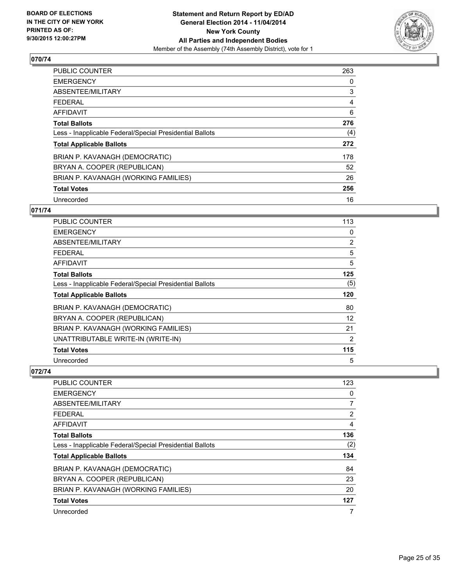

| PUBLIC COUNTER                                           | 263 |
|----------------------------------------------------------|-----|
| <b>EMERGENCY</b>                                         | 0   |
| ABSENTEE/MILITARY                                        | 3   |
| <b>FEDERAL</b>                                           | 4   |
| AFFIDAVIT                                                | 6   |
| <b>Total Ballots</b>                                     | 276 |
| Less - Inapplicable Federal/Special Presidential Ballots | (4) |
| <b>Total Applicable Ballots</b>                          | 272 |
| BRIAN P. KAVANAGH (DEMOCRATIC)                           | 178 |
| BRYAN A. COOPER (REPUBLICAN)                             | 52  |
| BRIAN P. KAVANAGH (WORKING FAMILIES)                     | 26  |
| <b>Total Votes</b>                                       | 256 |
| Unrecorded                                               | 16  |

# **071/74**

| PUBLIC COUNTER                                           | 113 |
|----------------------------------------------------------|-----|
| <b>EMERGENCY</b>                                         | 0   |
| ABSENTEE/MILITARY                                        | 2   |
| <b>FEDERAL</b>                                           | 5   |
| AFFIDAVIT                                                | 5   |
| <b>Total Ballots</b>                                     | 125 |
| Less - Inapplicable Federal/Special Presidential Ballots | (5) |
| <b>Total Applicable Ballots</b>                          | 120 |
| BRIAN P. KAVANAGH (DEMOCRATIC)                           | 80  |
| BRYAN A. COOPER (REPUBLICAN)                             | 12  |
| BRIAN P. KAVANAGH (WORKING FAMILIES)                     | 21  |
| UNATTRIBUTABLE WRITE-IN (WRITE-IN)                       | 2   |
| <b>Total Votes</b>                                       | 115 |
| Unrecorded                                               | 5   |

| PUBLIC COUNTER                                           | 123 |
|----------------------------------------------------------|-----|
| <b>EMERGENCY</b>                                         | 0   |
| ABSENTEE/MILITARY                                        | 7   |
| <b>FEDERAL</b>                                           | 2   |
| AFFIDAVIT                                                | 4   |
| <b>Total Ballots</b>                                     | 136 |
| Less - Inapplicable Federal/Special Presidential Ballots | (2) |
| <b>Total Applicable Ballots</b>                          | 134 |
| BRIAN P. KAVANAGH (DEMOCRATIC)                           | 84  |
| BRYAN A. COOPER (REPUBLICAN)                             | 23  |
| BRIAN P. KAVANAGH (WORKING FAMILIES)                     | 20  |
| <b>Total Votes</b>                                       | 127 |
| Unrecorded                                               | 7   |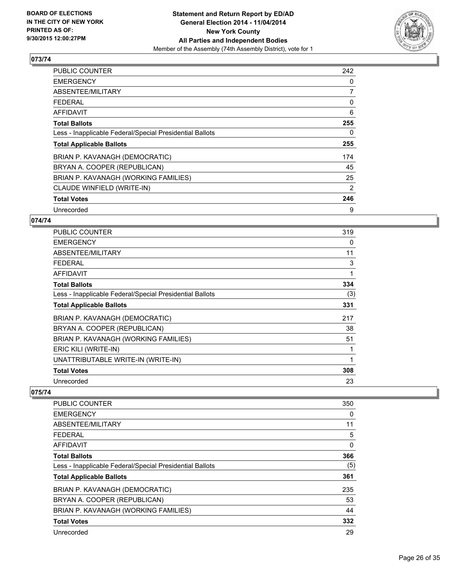

| <b>PUBLIC COUNTER</b>                                    | 242 |
|----------------------------------------------------------|-----|
| <b>EMERGENCY</b>                                         | 0   |
| ABSENTEE/MILITARY                                        | 7   |
| <b>FEDERAL</b>                                           | 0   |
| AFFIDAVIT                                                | 6   |
| <b>Total Ballots</b>                                     | 255 |
| Less - Inapplicable Federal/Special Presidential Ballots | 0   |
| <b>Total Applicable Ballots</b>                          | 255 |
| BRIAN P. KAVANAGH (DEMOCRATIC)                           | 174 |
| BRYAN A. COOPER (REPUBLICAN)                             | 45  |
| BRIAN P. KAVANAGH (WORKING FAMILIES)                     | 25  |
| CLAUDE WINFIELD (WRITE-IN)                               | 2   |
| <b>Total Votes</b>                                       | 246 |
| Unrecorded                                               | 9   |

# **074/74**

| <b>PUBLIC COUNTER</b>                                    | 319 |
|----------------------------------------------------------|-----|
| <b>EMERGENCY</b>                                         | 0   |
| ABSENTEE/MILITARY                                        | 11  |
| FEDERAL                                                  | 3   |
| <b>AFFIDAVIT</b>                                         | 1   |
| <b>Total Ballots</b>                                     | 334 |
| Less - Inapplicable Federal/Special Presidential Ballots | (3) |
| <b>Total Applicable Ballots</b>                          | 331 |
| BRIAN P. KAVANAGH (DEMOCRATIC)                           | 217 |
| BRYAN A. COOPER (REPUBLICAN)                             | 38  |
| BRIAN P. KAVANAGH (WORKING FAMILIES)                     | 51  |
| ERIC KILI (WRITE-IN)                                     |     |
| UNATTRIBUTABLE WRITE-IN (WRITE-IN)                       | 1   |
| <b>Total Votes</b>                                       | 308 |
| Unrecorded                                               | 23  |

| <b>PUBLIC COUNTER</b>                                    | 350 |
|----------------------------------------------------------|-----|
| <b>EMERGENCY</b>                                         | 0   |
| ABSENTEE/MILITARY                                        | 11  |
| <b>FEDERAL</b>                                           | 5   |
| AFFIDAVIT                                                | 0   |
| <b>Total Ballots</b>                                     | 366 |
| Less - Inapplicable Federal/Special Presidential Ballots | (5) |
| <b>Total Applicable Ballots</b>                          | 361 |
| BRIAN P. KAVANAGH (DEMOCRATIC)                           | 235 |
| BRYAN A. COOPER (REPUBLICAN)                             | 53  |
| BRIAN P. KAVANAGH (WORKING FAMILIES)                     | 44  |
| <b>Total Votes</b>                                       | 332 |
| Unrecorded                                               | 29  |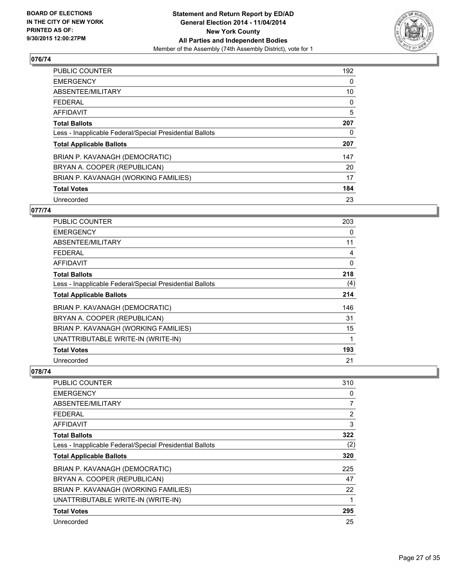

| PUBLIC COUNTER                                           | 192 |
|----------------------------------------------------------|-----|
| <b>EMERGENCY</b>                                         | 0   |
| ABSENTEE/MILITARY                                        | 10  |
| <b>FEDERAL</b>                                           | 0   |
| AFFIDAVIT                                                | 5   |
| <b>Total Ballots</b>                                     | 207 |
| Less - Inapplicable Federal/Special Presidential Ballots | 0   |
| <b>Total Applicable Ballots</b>                          | 207 |
| BRIAN P. KAVANAGH (DEMOCRATIC)                           | 147 |
| BRYAN A. COOPER (REPUBLICAN)                             | 20  |
| BRIAN P. KAVANAGH (WORKING FAMILIES)                     | 17  |
| <b>Total Votes</b>                                       | 184 |
| Unrecorded                                               | 23  |

# **077/74**

| PUBLIC COUNTER                                           | 203 |
|----------------------------------------------------------|-----|
| <b>EMERGENCY</b>                                         | 0   |
| ABSENTEE/MILITARY                                        | 11  |
| <b>FEDERAL</b>                                           | 4   |
| AFFIDAVIT                                                | 0   |
| <b>Total Ballots</b>                                     | 218 |
| Less - Inapplicable Federal/Special Presidential Ballots | (4) |
| <b>Total Applicable Ballots</b>                          | 214 |
| BRIAN P. KAVANAGH (DEMOCRATIC)                           | 146 |
| BRYAN A. COOPER (REPUBLICAN)                             | 31  |
| BRIAN P. KAVANAGH (WORKING FAMILIES)                     | 15  |
| UNATTRIBUTABLE WRITE-IN (WRITE-IN)                       | 1   |
| <b>Total Votes</b>                                       | 193 |
| Unrecorded                                               | 21  |

| PUBLIC COUNTER                                           | 310 |
|----------------------------------------------------------|-----|
| <b>EMERGENCY</b>                                         | 0   |
| ABSENTEE/MILITARY                                        | 7   |
| <b>FEDERAL</b>                                           | 2   |
| AFFIDAVIT                                                | 3   |
| <b>Total Ballots</b>                                     | 322 |
| Less - Inapplicable Federal/Special Presidential Ballots | (2) |
| <b>Total Applicable Ballots</b>                          | 320 |
| BRIAN P. KAVANAGH (DEMOCRATIC)                           | 225 |
| BRYAN A. COOPER (REPUBLICAN)                             | 47  |
| BRIAN P. KAVANAGH (WORKING FAMILIES)                     | 22  |
| UNATTRIBUTABLE WRITE-IN (WRITE-IN)                       | 1   |
| <b>Total Votes</b>                                       | 295 |
| Unrecorded                                               | 25  |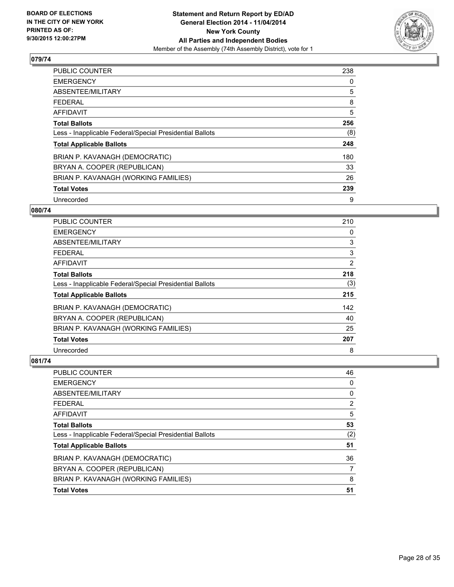

| <b>PUBLIC COUNTER</b>                                    | 238 |
|----------------------------------------------------------|-----|
| <b>EMERGENCY</b>                                         | 0   |
| ABSENTEE/MILITARY                                        | 5   |
| <b>FEDERAL</b>                                           | 8   |
| <b>AFFIDAVIT</b>                                         | 5   |
| <b>Total Ballots</b>                                     | 256 |
| Less - Inapplicable Federal/Special Presidential Ballots | (8) |
| <b>Total Applicable Ballots</b>                          | 248 |
| BRIAN P. KAVANAGH (DEMOCRATIC)                           | 180 |
| BRYAN A. COOPER (REPUBLICAN)                             | 33  |
| BRIAN P. KAVANAGH (WORKING FAMILIES)                     | 26  |
| <b>Total Votes</b>                                       | 239 |
| Unrecorded                                               | 9   |

#### **080/74**

| <b>PUBLIC COUNTER</b>                                    | 210            |
|----------------------------------------------------------|----------------|
| <b>EMERGENCY</b>                                         | 0              |
| ABSENTEE/MILITARY                                        | 3              |
| <b>FEDERAL</b>                                           | 3              |
| <b>AFFIDAVIT</b>                                         | $\overline{2}$ |
| <b>Total Ballots</b>                                     | 218            |
| Less - Inapplicable Federal/Special Presidential Ballots | (3)            |
| <b>Total Applicable Ballots</b>                          | 215            |
| BRIAN P. KAVANAGH (DEMOCRATIC)                           | 142            |
| BRYAN A. COOPER (REPUBLICAN)                             | 40             |
| BRIAN P. KAVANAGH (WORKING FAMILIES)                     | 25             |
| <b>Total Votes</b>                                       | 207            |
| Unrecorded                                               | 8              |

| <b>PUBLIC COUNTER</b>                                    | 46  |
|----------------------------------------------------------|-----|
| <b>EMERGENCY</b>                                         | 0   |
| ABSENTEE/MILITARY                                        | 0   |
| <b>FEDERAL</b>                                           | 2   |
| <b>AFFIDAVIT</b>                                         | 5   |
| <b>Total Ballots</b>                                     | 53  |
| Less - Inapplicable Federal/Special Presidential Ballots | (2) |
| <b>Total Applicable Ballots</b>                          | 51  |
| BRIAN P. KAVANAGH (DEMOCRATIC)                           | 36  |
| BRYAN A. COOPER (REPUBLICAN)                             |     |
| BRIAN P. KAVANAGH (WORKING FAMILIES)                     | 8   |
| <b>Total Votes</b>                                       | 51  |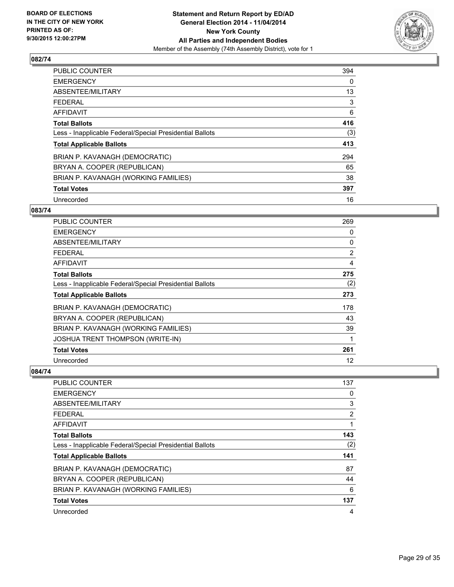

| PUBLIC COUNTER                                           | 394 |
|----------------------------------------------------------|-----|
| <b>EMERGENCY</b>                                         | 0   |
| ABSENTEE/MILITARY                                        | 13  |
| <b>FEDERAL</b>                                           | 3   |
| AFFIDAVIT                                                | 6   |
| <b>Total Ballots</b>                                     | 416 |
| Less - Inapplicable Federal/Special Presidential Ballots | (3) |
| <b>Total Applicable Ballots</b>                          | 413 |
| BRIAN P. KAVANAGH (DEMOCRATIC)                           | 294 |
| BRYAN A. COOPER (REPUBLICAN)                             | 65  |
| BRIAN P. KAVANAGH (WORKING FAMILIES)                     | 38  |
| <b>Total Votes</b>                                       | 397 |
| Unrecorded                                               | 16  |

#### **083/74**

| <b>PUBLIC COUNTER</b>                                    | 269 |
|----------------------------------------------------------|-----|
| <b>EMERGENCY</b>                                         | 0   |
| ABSENTEE/MILITARY                                        | 0   |
| <b>FEDERAL</b>                                           | 2   |
| AFFIDAVIT                                                | 4   |
| <b>Total Ballots</b>                                     | 275 |
| Less - Inapplicable Federal/Special Presidential Ballots | (2) |
| <b>Total Applicable Ballots</b>                          | 273 |
| BRIAN P. KAVANAGH (DEMOCRATIC)                           | 178 |
| BRYAN A. COOPER (REPUBLICAN)                             | 43  |
| BRIAN P. KAVANAGH (WORKING FAMILIES)                     | 39  |
| <b>JOSHUA TRENT THOMPSON (WRITE-IN)</b>                  | 1   |
| <b>Total Votes</b>                                       | 261 |
| Unrecorded                                               | 12  |

| PUBLIC COUNTER                                           | 137            |
|----------------------------------------------------------|----------------|
| <b>EMERGENCY</b>                                         | 0              |
| ABSENTEE/MILITARY                                        | 3              |
| <b>FEDERAL</b>                                           | $\overline{2}$ |
| AFFIDAVIT                                                |                |
| <b>Total Ballots</b>                                     | 143            |
| Less - Inapplicable Federal/Special Presidential Ballots | (2)            |
| <b>Total Applicable Ballots</b>                          | 141            |
| BRIAN P. KAVANAGH (DEMOCRATIC)                           | 87             |
| BRYAN A. COOPER (REPUBLICAN)                             | 44             |
| BRIAN P. KAVANAGH (WORKING FAMILIES)                     | 6              |
| <b>Total Votes</b>                                       | 137            |
| Unrecorded                                               | 4              |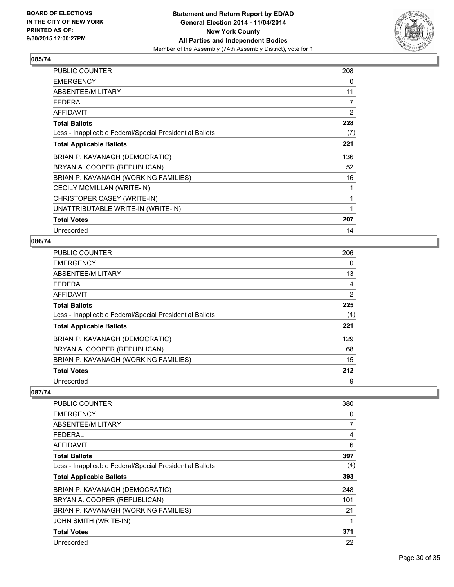

| <b>PUBLIC COUNTER</b>                                    | 208 |
|----------------------------------------------------------|-----|
| <b>EMERGENCY</b>                                         | 0   |
| ABSENTEE/MILITARY                                        | 11  |
| <b>FEDERAL</b>                                           | 7   |
| <b>AFFIDAVIT</b>                                         | 2   |
| <b>Total Ballots</b>                                     | 228 |
| Less - Inapplicable Federal/Special Presidential Ballots | (7) |
| <b>Total Applicable Ballots</b>                          | 221 |
| BRIAN P. KAVANAGH (DEMOCRATIC)                           | 136 |
| BRYAN A. COOPER (REPUBLICAN)                             | 52  |
| BRIAN P. KAVANAGH (WORKING FAMILIES)                     | 16  |
| CECILY MCMILLAN (WRITE-IN)                               | 1   |
| CHRISTOPER CASEY (WRITE-IN)                              | 1   |
| UNATTRIBUTABLE WRITE-IN (WRITE-IN)                       | 1   |
| <b>Total Votes</b>                                       | 207 |
| Unrecorded                                               | 14  |

## **086/74**

| PUBLIC COUNTER                                           | 206 |
|----------------------------------------------------------|-----|
| <b>EMERGENCY</b>                                         | 0   |
| <b>ABSENTEE/MILITARY</b>                                 | 13  |
| <b>FEDERAL</b>                                           | 4   |
| AFFIDAVIT                                                | 2   |
| <b>Total Ballots</b>                                     | 225 |
| Less - Inapplicable Federal/Special Presidential Ballots | (4) |
| <b>Total Applicable Ballots</b>                          | 221 |
| BRIAN P. KAVANAGH (DEMOCRATIC)                           | 129 |
| BRYAN A. COOPER (REPUBLICAN)                             | 68  |
| BRIAN P. KAVANAGH (WORKING FAMILIES)                     | 15  |
| <b>Total Votes</b>                                       | 212 |
| Unrecorded                                               | 9   |

| <b>PUBLIC COUNTER</b>                                    | 380 |
|----------------------------------------------------------|-----|
| <b>EMERGENCY</b>                                         | 0   |
| ABSENTEE/MILITARY                                        | 7   |
| <b>FEDERAL</b>                                           | 4   |
| AFFIDAVIT                                                | 6   |
| <b>Total Ballots</b>                                     | 397 |
| Less - Inapplicable Federal/Special Presidential Ballots | (4) |
| <b>Total Applicable Ballots</b>                          | 393 |
| BRIAN P. KAVANAGH (DEMOCRATIC)                           | 248 |
| BRYAN A. COOPER (REPUBLICAN)                             | 101 |
| BRIAN P. KAVANAGH (WORKING FAMILIES)                     | 21  |
| <b>JOHN SMITH (WRITE-IN)</b>                             | 1   |
| <b>Total Votes</b>                                       | 371 |
| Unrecorded                                               | 22  |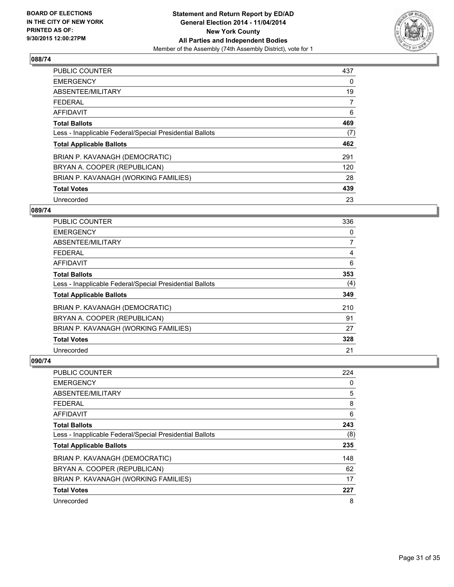

| <b>PUBLIC COUNTER</b>                                    | 437 |
|----------------------------------------------------------|-----|
| <b>EMERGENCY</b>                                         | 0   |
| ABSENTEE/MILITARY                                        | 19  |
| <b>FEDERAL</b>                                           | 7   |
| <b>AFFIDAVIT</b>                                         | 6   |
| <b>Total Ballots</b>                                     | 469 |
| Less - Inapplicable Federal/Special Presidential Ballots | (7) |
| <b>Total Applicable Ballots</b>                          | 462 |
| BRIAN P. KAVANAGH (DEMOCRATIC)                           | 291 |
| BRYAN A. COOPER (REPUBLICAN)                             | 120 |
| BRIAN P. KAVANAGH (WORKING FAMILIES)                     | 28  |
| <b>Total Votes</b>                                       | 439 |
| Unrecorded                                               | 23  |

#### **089/74**

| PUBLIC COUNTER                                           | 336            |
|----------------------------------------------------------|----------------|
| <b>EMERGENCY</b>                                         | 0              |
| ABSENTEE/MILITARY                                        | $\overline{7}$ |
| <b>FEDERAL</b>                                           | 4              |
| <b>AFFIDAVIT</b>                                         | 6              |
| <b>Total Ballots</b>                                     | 353            |
| Less - Inapplicable Federal/Special Presidential Ballots | (4)            |
| <b>Total Applicable Ballots</b>                          | 349            |
| BRIAN P. KAVANAGH (DEMOCRATIC)                           | 210            |
| BRYAN A. COOPER (REPUBLICAN)                             | 91             |
| BRIAN P. KAVANAGH (WORKING FAMILIES)                     | 27             |
| <b>Total Votes</b>                                       | 328            |
| Unrecorded                                               | 21             |

| <b>PUBLIC COUNTER</b>                                    | 224 |
|----------------------------------------------------------|-----|
| <b>EMERGENCY</b>                                         | 0   |
| ABSENTEE/MILITARY                                        | 5   |
| <b>FEDERAL</b>                                           | 8   |
| <b>AFFIDAVIT</b>                                         | 6   |
| <b>Total Ballots</b>                                     | 243 |
| Less - Inapplicable Federal/Special Presidential Ballots | (8) |
| <b>Total Applicable Ballots</b>                          | 235 |
| BRIAN P. KAVANAGH (DEMOCRATIC)                           | 148 |
| BRYAN A. COOPER (REPUBLICAN)                             | 62  |
| BRIAN P. KAVANAGH (WORKING FAMILIES)                     | 17  |
| <b>Total Votes</b>                                       | 227 |
| Unrecorded                                               | 8   |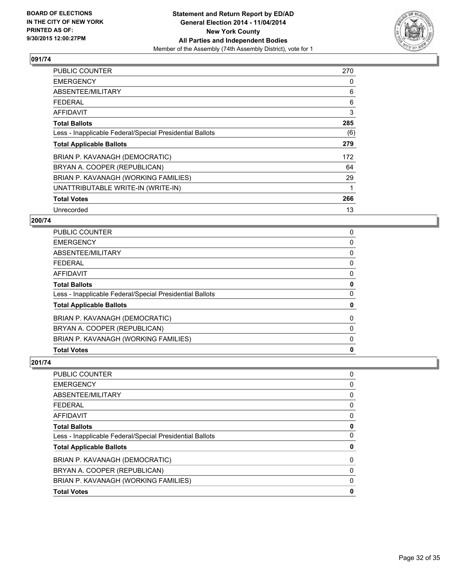

| <b>PUBLIC COUNTER</b>                                    | 270 |
|----------------------------------------------------------|-----|
| <b>EMERGENCY</b>                                         | 0   |
| ABSENTEE/MILITARY                                        | 6   |
| <b>FEDERAL</b>                                           | 6   |
| AFFIDAVIT                                                | 3   |
| <b>Total Ballots</b>                                     | 285 |
| Less - Inapplicable Federal/Special Presidential Ballots | (6) |
| <b>Total Applicable Ballots</b>                          | 279 |
| BRIAN P. KAVANAGH (DEMOCRATIC)                           | 172 |
| BRYAN A. COOPER (REPUBLICAN)                             | 64  |
| BRIAN P. KAVANAGH (WORKING FAMILIES)                     | 29  |
| UNATTRIBUTABLE WRITE-IN (WRITE-IN)                       | 1   |
| <b>Total Votes</b>                                       | 266 |
| Unrecorded                                               | 13  |

## **200/74**

| <b>Total Votes</b>                                       | 0           |
|----------------------------------------------------------|-------------|
| BRIAN P. KAVANAGH (WORKING FAMILIES)                     | 0           |
| BRYAN A. COOPER (REPUBLICAN)                             | 0           |
| BRIAN P. KAVANAGH (DEMOCRATIC)                           | $\mathbf 0$ |
| <b>Total Applicable Ballots</b>                          | 0           |
| Less - Inapplicable Federal/Special Presidential Ballots | 0           |
| <b>Total Ballots</b>                                     | 0           |
| <b>AFFIDAVIT</b>                                         | 0           |
| FEDERAL                                                  | 0           |
| <b>ABSENTEE/MILITARY</b>                                 | 0           |
| <b>EMERGENCY</b>                                         | 0           |
| <b>PUBLIC COUNTER</b>                                    | 0           |

| PUBLIC COUNTER                                           | 0            |
|----------------------------------------------------------|--------------|
| EMERGENCY                                                | 0            |
| ABSENTEE/MILITARY                                        | 0            |
| FEDERAL                                                  | 0            |
| AFFIDAVIT                                                | 0            |
| Total Ballots                                            | 0            |
| Less - Inapplicable Federal/Special Presidential Ballots | 0            |
| <b>Total Applicable Ballots</b>                          | 0            |
| BRIAN P. KAVANAGH (DEMOCRATIC)                           | $\mathbf{0}$ |
| BRYAN A. COOPER (REPUBLICAN)                             | 0            |
| BRIAN P. KAVANAGH (WORKING FAMILIES)                     | 0            |
| <b>Total Votes</b>                                       | 0            |
|                                                          |              |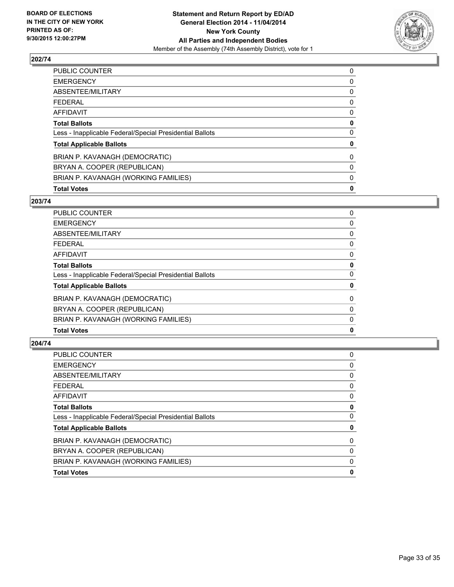

| <b>Total Votes</b>                                       | 0        |
|----------------------------------------------------------|----------|
| BRIAN P. KAVANAGH (WORKING FAMILIES)                     | 0        |
| BRYAN A. COOPER (REPUBLICAN)                             | 0        |
| BRIAN P. KAVANAGH (DEMOCRATIC)                           | $\Omega$ |
| <b>Total Applicable Ballots</b>                          | 0        |
| Less - Inapplicable Federal/Special Presidential Ballots | 0        |
| <b>Total Ballots</b>                                     | 0        |
| <b>AFFIDAVIT</b>                                         | 0        |
| <b>FEDERAL</b>                                           | 0        |
| ABSENTEE/MILITARY                                        | 0        |
| <b>EMERGENCY</b>                                         | 0        |
| <b>PUBLIC COUNTER</b>                                    | 0        |

#### **203/74**

| <b>PUBLIC COUNTER</b>                                    | 0 |
|----------------------------------------------------------|---|
| <b>EMERGENCY</b>                                         | 0 |
| <b>ABSENTEE/MILITARY</b>                                 | 0 |
| <b>FEDERAL</b>                                           | 0 |
| <b>AFFIDAVIT</b>                                         | 0 |
| <b>Total Ballots</b>                                     | 0 |
| Less - Inapplicable Federal/Special Presidential Ballots | 0 |
| <b>Total Applicable Ballots</b>                          | 0 |
| BRIAN P. KAVANAGH (DEMOCRATIC)                           | 0 |
| BRYAN A. COOPER (REPUBLICAN)                             | 0 |
| BRIAN P. KAVANAGH (WORKING FAMILIES)                     | 0 |
| <b>Total Votes</b>                                       | 0 |
|                                                          |   |

| PUBLIC COUNTER                                           | 0 |
|----------------------------------------------------------|---|
| <b>EMERGENCY</b>                                         | 0 |
| <b>ABSENTEE/MILITARY</b>                                 | 0 |
| <b>FEDERAL</b>                                           | 0 |
| AFFIDAVIT                                                | 0 |
| <b>Total Ballots</b>                                     | 0 |
| Less - Inapplicable Federal/Special Presidential Ballots | 0 |
| <b>Total Applicable Ballots</b>                          | 0 |
| BRIAN P. KAVANAGH (DEMOCRATIC)                           | 0 |
| BRYAN A. COOPER (REPUBLICAN)                             | 0 |
| BRIAN P. KAVANAGH (WORKING FAMILIES)                     | 0 |
| <b>Total Votes</b>                                       | 0 |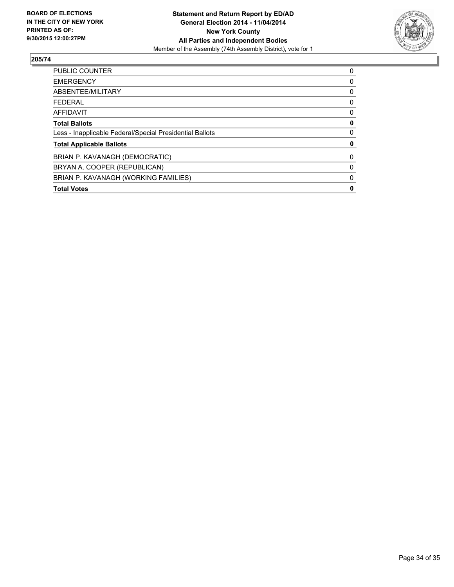

| PUBLIC COUNTER                                           | 0 |
|----------------------------------------------------------|---|
| <b>EMERGENCY</b>                                         | 0 |
| ABSENTEE/MILITARY                                        | 0 |
| <b>FEDERAL</b>                                           | 0 |
| <b>AFFIDAVIT</b>                                         | 0 |
| <b>Total Ballots</b>                                     | 0 |
| Less - Inapplicable Federal/Special Presidential Ballots | 0 |
| <b>Total Applicable Ballots</b>                          | 0 |
| BRIAN P. KAVANAGH (DEMOCRATIC)                           | 0 |
| BRYAN A. COOPER (REPUBLICAN)                             | 0 |
| BRIAN P. KAVANAGH (WORKING FAMILIES)                     | 0 |
| <b>Total Votes</b>                                       | 0 |